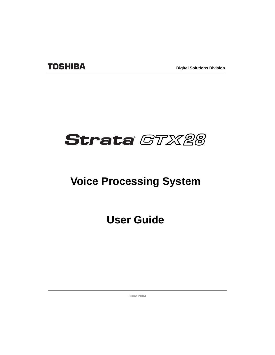

# **Voice Processing System**

**User Guide**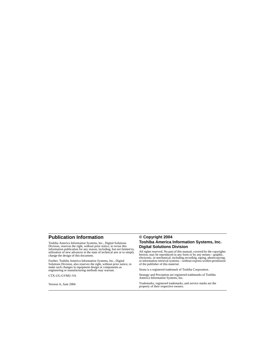#### **Publication Information**

Toshiba America Information Systems, Inc., Digital Solutions Division, reserves the right, without prior notice, to revise this information publication for any reason, including, but not limited to, utilization of new advances in the state of technical arts or to simply change the design of this document.

Further, Toshiba America Information Systems, Inc., Digital Solutions Division, also reserves the right, without prior notice, to make such changes in equipment design or components as engineering or manufacturing methods may warrant.

CTX-UG-GVMU-VA

Version A, June 2004

#### **© Copyright 2004 Toshiba America Information Systems, Inc. Digital Solutions Division**

All rights reserved. No part of this manual, covered by the copyrights hereon, may be reproduced in any form or by any means—graphic, electronic, or mechanical, including recording, taping, photocopying, or information retrieval systems—without express written permission of the publisher of this material.

Strata is a registered trademark of Toshiba Corporation.

Stratagy and Perception are registered trademarks of Toshiba America Information Systems, Inc.

Trademarks, registered trademarks, and service marks are the property of their respective owners.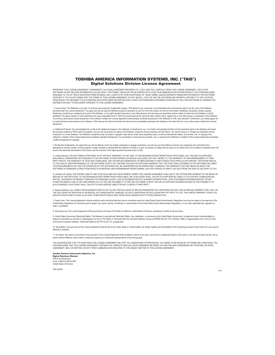### TOSHIBA AMERICA INFORMATION SYSTEMS, INC. (**"**TAIS**"**)

IMPORTANT: THIS LICENSE AGREEMENT ("AGREEMENT") IS A LEGAL AGREEMENT BETWEEN YOU ("YOU") AND TAIS. CAREFULLY READ THIS LICENSE AGREEMENT. USE OF ANY SOFTWARE OR ANY RELATED INFORMATION (COLLECTIVELY, "SOFTWARE") INSTALLED ON OR SHIPPED WITH A TAIS TELECOMMUNICATION SYSTEM PRODUCT OR OTHERWISE MADE AVAILABLE TO YOU BY TAIS IN WHATEVER FORM OR MEDIA, WILL CONSTITUTE YOUR ACCEPTANCE OF THESE TERMS, UNLESS SEPARATE TERMS ARE PROVIDED BY THE SOFTWARE SUPPLIER. IF YOU DO NOT AGREE WITH THE TERMS OF THIS LICENSE AGREEMENT, DO NOT INSTALL, COPY OR USE THE SOFTWARE AND PROMPTLY RETURN IT TO THE LOCATION FROM WHICH YOU OBTAINED IT IN ACCORDANCE WITH APPLICABLE RETURN POLICIES. EXCEPT AS OTHERWISE AUTHORIZED IN WRITING BY TAIS, THIS SOFTWARE IS LICENSED FOR DISTRIBUTION ONLY TO END-USERS PURSUANT TO THIS LICENSE AGREEMENT.

1. License Grant. The Software is not sold; it is licensed upon payment of applicable charges. TAIS grants to you a personal, non-transferable and non-exclusive right to use the copy of the Software provided under this License Agreement. You agree you will not copy the Software except as necessary to use it on one TAIS system at a time at one location. Modifying, translating, renting, copying, distributing, transferring or assigning all or part of the Software, or any rights granted hereunder, to any other persons and removing any proprietary notices, labels or marks from the Software is strictly prohibited; You agree violation of such restrictions will cause irreparable harm to TAIS and provide grounds for injunctive relief, without notice, against You or any other person in possession of the Software. You and any other person whose possession of the software violates this License Agreement shall promptly surrender possession of the Software to TAIS, upon demand. Furthermore, you hereby agree not to create derivative works based on the Software. TAIS reserves the right to terminate this license and to immediately repossess the software in the event that You or any other person violates this License Agreement.

2. Intellectual Property. You acknowledge that no title to the intellectual property in the Software is transferred to you. You further acknowledge that title and full ownership rights to the Software will remain the exclusive property of TAIS and/or its suppliers, and you will not acquire any rights to the Software, except the license expressly set forth above. You will not remove or change any proprietary notices contained in or on the Software. The Software is protected under US patent, copyright, trade secret, and/or other proprietary laws, as well as international treaties. Any transfer, use, or copying of the<br>software in violat software in violation of the License Agreement constitutes copyright infringement. You are hereby on notice that any transfer, use, or copying of the Software in violation of this License Agre a willful infringement of copyright.

3. No Reverse Engineering. You agree that you will not attempt, and if you employ employees or engage contractors, you will use your best efforts to prevent your employees and contractors from attempting to reverse compile, reverse engineer, modify, translate or disassemble the Software in whole or in part. Any failure to comply with the above or any other terms and conditions contained herein will result in the automatic termination of this license and the reversion of the rights granted hereunder back to TAIS.

4. Limited Warranty. THE SOFTWARE IS PROVIDED "AS IS" WITHOUT WARRANTY OF ANY KIND. TO THE MAXIMUM EXTENT PERMITTED BY APPLICABLE LAW, TAIS AND ITS SUPPLIERS DISCLAIM ALL WARRANTIES WITH REGARD TO THE SOFTWARE, EITHER EXPRESS OR IMPLIED, INCLUDING, BUT NOT LIMITED TO, THE WARRANTY OF NON-INFRINGEMENT OF THIRD PARTY RIGHTS, THE WARRANTY OF YEAR 2000 COMPLIANCE, AND THE IMPLIED WARRANTIES OF MERCHANTABILITY AND FITNESS FOR A PARTICULAR PURPOSE. THE ENTIRE RISK AS TO THE QUALITY AND PERFORMANCE OF THE SOFTWARE IS WITH YOU. NEITHER TAIS NOR ITS SUPPLIERS WARRANT THAT THE FUNCTIONS CONTAINED IN THE SOFTWARE WILL MEET YOUR REQUIREMENTS OR THAT THE OPERATION OF THE SOFTWARE WILL BE UNINTERRUPTED OR ERROR-FREE. HOWEVER, TAIS WARRANTS THAT ANY MEDIA ON WHICH THE SOFTWARE IS FURNISHED IS FREE FROM DEFECTS IN MATERIAL AND WORKMANSHIP UNDER NORMAL USE FOR A PERIOD OF NINETY (90) DAYS FROM THE DATE OF DELIVERY TO YOU.

5. Limitation Of Liability. TAIS' ENTIRE LIABILITY AND YOUR SOLE AND EXCLUSIVE REMEDY UNDER THIS LICENSE AGREEMENT SHALL BE AT TAIS' OPTION REPLACEMENT OF THE MEDIA OR REFUND OF THE PRICE PAID. TO THE MAXIMUM EXTENT PERMITTED BY APPLICABLE LAW, IN NO EVENT SHALL TAIS OR ITS SUPPLIERS BE LIABLE TO YOU FOR ANY CONSEQUENTIAL, SPECIAL, INCIDENTAL OR INDIRECT DAMAGES FOR PERSONAL INJURY, LOSS OF BUSINESS PROFITS, BUSINESS INTERRUPTION, LOSS OF BUSINESS INFORMATION/DATA, OR ANY OTHER PECUNIARY LOSS OF ANY KIND ARISING OUT OF THE USE OR INABILITY TO USE THE SOFTWARE, EVEN IF TAIS OR ITS SUPPLIER HAS BEEN ADVISED OF THE POSSIBILITY OF SUCH DAMAGES. IN NO EVENT SHALL TAIS OR ITS SUPPLIERS BE LIABLE FOR ANY CLAIM BY A THIRD PARTY.

6. State/Jurisdiction Laws. SOME STATES/JURISDICTIONS DO NOT ALLOW THE EXCLUSION OF IMPLIED WARRANTES OR LIMITATIONS ON HOW LONG AN IMPLIED WARRANTY MAY LAST, OR<br>THE EXCLUSION OR LIMITATION OF INCIDENTAL OR CONSEQUENTIAL D SPECIFIC RIGHTS AND YOU MAY ALSO HAVE OTHER RIGHTS WHICH VARY FROM STATE/JURISDICTION TO STATE/JURISDICTION.

7. Export Laws. This License Agreement involves products and/or technical data that may be controlled under the United States Export Administration Regulations and may be subject to the approval of the United States Department of Commerce prior to export. Any export, directly or indirectly, in contravention of the United States Export Administration Regulations, or any other applicable law, regulation or order, is prohibited.

8. Governing Law, This License Agreement will be governed by the laws of the State of California, United States of America, excluding its conflict of law provisions.

9. United States Government Restricted Rights. The Software is provided with Restricted Rights. Use, duplication, or disclosure by the United States Government, its agencies and/or instrumentalities is subject to restrictions as set forth in subparagraph (c)(1)(ii) of The Rights in Technical Data and Computer Software Clause at DFARS 252.227-7013 (October 1988) or subparagraphs (c)(1) and (2) of the Commercial Computer Software - Restricted Rights at 48 CER 52.227-19, as applicable.

10. Severability. If any provision of this License Agreement shall be held to be invalid, illegal or unenforceable, the validity, legality and enforceability of the remaining provisions hereof shall not in any way be affected or impaired.

11. No Waiver. No waiver of any breach of any provision of this License Agreement shall constitute a waiver of any prior, concurrent or subsequent breach of the same or any other provisions hereof, and no waiver shall be effective unless made in writing and signed by an authorized representative of the waiving party.

YOU ACKNOWLEDGE THAT YOU HAVE READ THIS LICENSE AGREEMENT AND THAT YOU UNDERSTAND ITS PROVISIONS. YOU AGREE TO BE BOUND BY ITS TERMS AND CONDITIONS. YOU FURTHER AGREE THAT THIS LICENSE AGREEMENT CONTAINS THE COMPLETE AND EXCLUSIVE AGREEMENT BETWEEN YOU AND TAIS AND SUPERSEDES ANY PROPOSAL OR PRIOR AGREEMENT, ORAL OR WRITTEN, OR ANY OTHER COMMUNICATION RELATING TO THE SUBJECT MATTER OF THIS LICENSE AGREEMENT.

#### Toshiba America Information Systems, Inc.

magaan menuntut menuntut.<br>9740 Irvine Boulevard Irvine, California 92618-1697 United States of America

**TSD 081601** 5932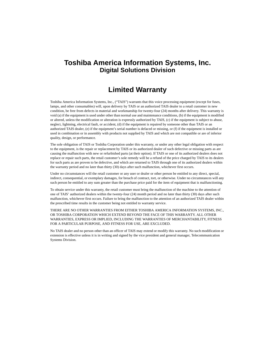### **Toshiba America Information Systems, Inc. Digital Solutions Division**

### **Limited Warranty**

Toshiba America Information Systems, Inc., ("TAIS") warrants that this voice processing equipment (except for fuses, lamps, and other consumables) will, upon delivery by TAIS or an authorized TAIS dealer to a retail customer in new condition, be free from defects in material and workmanship for twenty-four (24) months after delivery. This warranty is void (a) if the equipment is used under other than normal use and maintenance conditions, (b) if the equipment is modified or altered, unless the modification or alteration is expressly authorized by TAIS, (c) if the equipment is subject to abuse, neglect, lightning, electrical fault, or accident, (d) if the equipment is repaired by someone other than TAIS or an authorized TAIS dealer, (e) if the equipment's serial number is defaced or missing, or (f) if the equipment is installed or used in combination or in assembly with products not supplied by TAIS and which are not compatible or are of inferior quality, design, or performance.

The sole obligation of TAIS or Toshiba Corporation under this warranty, or under any other legal obligation with respect to the equipment, is the repair or replacement by TAIS or its authorized dealer of such defective or missing parts as are causing the malfunction with new or refurbished parts (at their option). If TAIS or one of its authorized dealers does not replace or repair such parts, the retail customer's sole remedy will be a refund of the price charged by TAIS to its dealers for such parts as are proven to be defective, and which are returned to TAIS through one of its authorized dealers within the warranty period and no later than thirty (30) days after such malfunction, whichever first occurs.

Under no circumstances will the retail customer or any user or dealer or other person be entitled to any direct, special, indirect, consequential, or exemplary damages, for breach of contract, tort, or otherwise. Under no circumstances will any such person be entitled to any sum greater than the purchase price paid for the item of equipment that is malfunctioning.

To obtain service under this warranty, the retail customer must bring the malfunction of the machine to the attention of one of TAIS' authorized dealers within the twenty-four (24) month period and no later than thirty (30) days after such malfunction, whichever first occurs. Failure to bring the malfunction to the attention of an authorized TAIS dealer within the prescribed time results in the customer being not entitled to warranty service.

THERE ARE NO OTHER WARRANTIES FROM EITHER TOSHIBA AMERICA INFORMATION SYSTEMS, INC., OR TOSHIBA CORPORATION WHICH EXTEND BEYOND THE FACE OF THIS WARRANTY. ALL OTHER WARRANTIES, EXPRESS OR IMPLIED, INCLUDING THE WARRANTIES OF MERCHANTABILITY, FITNESS FOR A PARTICULAR PURPOSE, AND FITNESS FOR USE, ARE EXCLUDED.

No TAIS dealer and no person other than an officer of TAIS may extend or modify this warranty. No such modification or extension is effective unless it is in writing and signed by the vice president and general manager, Telecommunication Systems Division.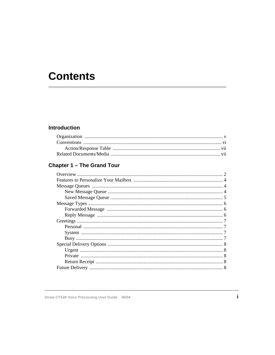# **Contents**

#### **Introduction**

### **Chapter 1 - The Grand Tour**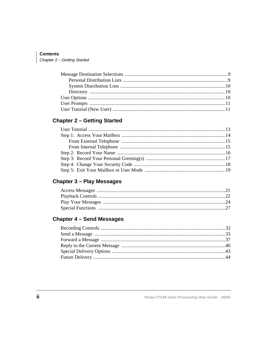Chapter 2 - Getting Started

#### **Chapter 2 - Getting Started**

#### **Chapter 3 - Play Messages**

#### **Chapter 4 - Send Messages**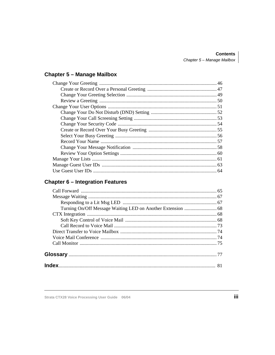#### **Chapter 5 - Manage Mailbox**

#### **Chapter 6 - Integration Features**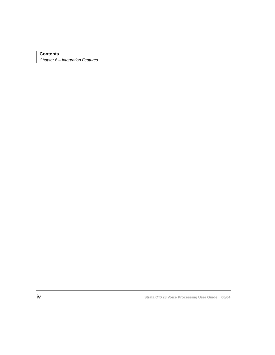#### **Contents**

*Chapter 6 – Integration Features*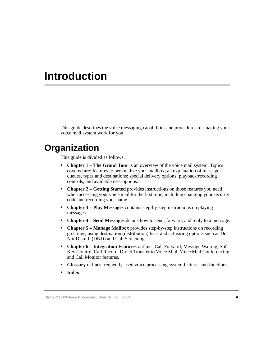# <span id="page-8-0"></span>**Introduction**

This guide describes the voice messaging capabilities and procedures for making your voice mail system work for you.

### <span id="page-8-1"></span>**Organization**

This guide is divided as follows:

- **Chapter 1 The Grand Tour** is an overview of the voice mail system. Topics covered are: features to personalize your mailbox; an explanation of message queues, types and destinations; special delivery options; playback/recording controls; and available user options.
- **Chapter 2 Getting Started** provides instructions on those features you need when accessing your voice mail for the first time, including changing your security code and recording your name.
- **• Chapter 3 Play Messages** contains step-by-step instructions on playing messages.
- **• Chapter 4 Send Messages** details how to send, forward, and reply to a message.
- **Chapter 5 Manage Mailbox** provides step-by-step instructions on recording greetings, using destination (distribution) lists, and activating options such as Do Not Disturb (DND) and Call Screening.
- **• Chapter 6 Integration Features** outlines Call Forward, Message Waiting, Soft Key Control, Call Record, Direct Transfer to Voice Mail, Voice Mail Conferencing and Call Monitor features.
- **• Glossary** defines frequently-used voice processing system features and functions.
- **• Index**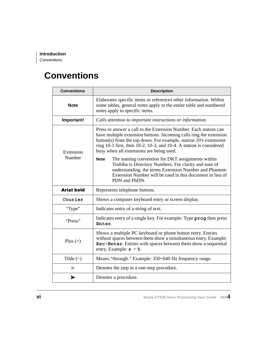# <span id="page-9-0"></span>**Conventions**

| <b>Conventions</b> | <b>Description</b>                                                                                                                                                                                                                                                                                                             |  |
|--------------------|--------------------------------------------------------------------------------------------------------------------------------------------------------------------------------------------------------------------------------------------------------------------------------------------------------------------------------|--|
| <b>Note</b>        | Elaborates specific items or references other information. Within<br>some tables, general notes apply to the entire table and numbered<br>notes apply to specific items.                                                                                                                                                       |  |
| Important!         | Calls attention to important instructions or information.                                                                                                                                                                                                                                                                      |  |
| Extension          | Press to answer a call to the Extension Number. Each station can<br>have multiple extension buttons. Incoming calls ring the extension<br>button(s) from the top down. For example, station 10's extensions<br>ring 10-1 first, then 10-2, 10-3, and 10-4. A station is considered<br>busy when all extensions are being used. |  |
| Number             | The naming convention for DKT assignments within<br><b>Note</b><br>Toshiba is Directory Numbers. For clarity and ease of<br>understanding, the terms Extension Number and Phantom<br>Extension Number will be used in this document in lieu of<br>PDN and PhDN.                                                                |  |
| <b>Arial bold</b>  | Represents telephone buttons.                                                                                                                                                                                                                                                                                                  |  |
| Courier            | Shows a computer keyboard entry or screen display.                                                                                                                                                                                                                                                                             |  |
| "Type"             | Indicates entry of a string of text.                                                                                                                                                                                                                                                                                           |  |
| "Press"            | Indicates entry of a single key. For example: Type prog then press<br>Enter.                                                                                                                                                                                                                                                   |  |
| Plus $(+)$         | Shows a multiple PC keyboard or phone button entry. Entries<br>without spaces between them show a simultaneous entry. Example:<br>Esc+Enter. Entries with spaces between them show a sequential<br>entry. Example: $# + 5$ .                                                                                                   |  |
| Tilde $(\sim)$     | Means "through." Example: 350~640 Hz frequency range.                                                                                                                                                                                                                                                                          |  |
| ⋗                  | Denotes the step in a one-step procedure.                                                                                                                                                                                                                                                                                      |  |
|                    | Denotes a procedure.                                                                                                                                                                                                                                                                                                           |  |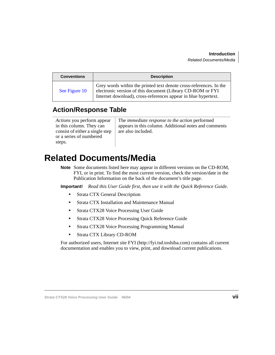| <b>Conventions</b> | <b>Description</b>                                                                                                                                                                                 |
|--------------------|----------------------------------------------------------------------------------------------------------------------------------------------------------------------------------------------------|
| See Figure 10      | Grey words within the printed text denote cross-references. In the<br>electronic version of this document (Library CD-ROM or FYI<br>Internet download), cross-references appear in blue hypertext. |

### <span id="page-10-0"></span>**Action/Response Table**

*Actions* you perform appear in this column. They can consist of either a single step or a series of numbered steps.

The *immediate response to the action* performed appears in this column. Additional notes and comments are also included.

## <span id="page-10-1"></span>**Related Documents/Media**

**Note** Some documents listed here may appear in different versions on the CD-ROM, FYI, or in print. To find the most current version, check the version/date in the Publication Information on the back of the document's title page.

**Important!** *Read this User Guide first, then use it with the Quick Reference Guide.*

- **•** Strata CTX General Description
- **•** Strata CTX Installation and Maintenance Manual
- **•** Strata CTX28 Voice Processing User Guide
- **•** Strata CTX28 Voice Processing Quick Reference Guide
- **•** Strata CTX28 Voice Processing Programming Manual
- **•** Strata CTX Library CD-ROM

For authorized users, Internet site FYI (http://fyi.tsd.toshiba.com) contains all current documentation and enables you to view, print, and download current publications.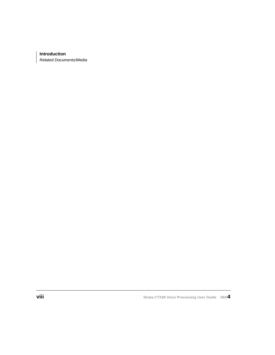#### **Introduction**

*Related Documents/Media*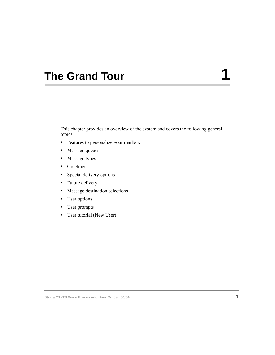# <span id="page-12-0"></span>**The Grand Tour**

This chapter provides an overview of the system and covers the following general topics:

- **•** Features to personalize your mailbox
- **•** Message queues
- **•** Message types
- **•** Greetings
- **•** Special delivery options
- **•** Future delivery
- **•** Message destination selections
- **•** User options
- **•** User prompts
- **•** User tutorial (New User)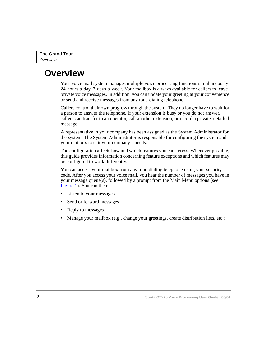## <span id="page-13-0"></span>**Overview**

Your voice mail system manages multiple voice processing functions simultaneously 24-hours-a-day, 7-days-a-week. Your mailbox is always available for callers to leave private voice messages. In addition, you can update your greeting at your convenience or send and receive messages from any tone-dialing telephone.

Callers control their own progress through the system. They no longer have to wait for a person to answer the telephone. If your extension is busy or you do not answer, callers can transfer to an operator, call another extension, or record a private, detailed message.

A representative in your company has been assigned as the System Administrator for the system. The System Administrator is responsible for configuring the system and your mailbox to suit your company's needs.

The configuration affects how and which features you can access. Whenever possible, this guide provides information concerning feature exceptions and which features may be configured to work differently.

You can access your mailbox from any tone-dialing telephone using your security code. After you access your voice mail, you hear the number of messages you have in your message queue(s), followed by a prompt from the Main Menu options (see [Figure 1](#page-14-0)). You can then:

- **•** Listen to your messages
- **•** Send or forward messages
- **•** Reply to messages
- **•** Manage your mailbox (e.g., change your greetings, create distribution lists, etc.)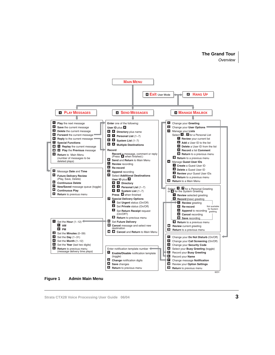

<span id="page-14-0"></span>**Figure 1 Admin Main Menu**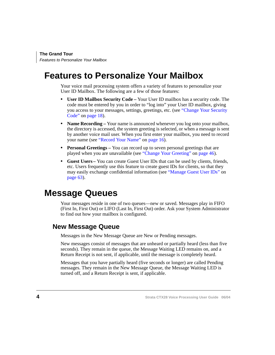## <span id="page-15-0"></span>**Features to Personalize Your Mailbox**

Your voice mail processing system offers a variety of features to personalize your User ID Mailbox. The following are a few of those features:

- **• User ID Mailbox Security Code** Your User ID mailbox has a security code. The code must be entered by you in order to "log into" your User ID mailbox, giving you access to your messages, settings, greetings, etc. (see ["Change Your Security](#page-29-0)  [Code" on page 18\)](#page-29-0).
- **• Name Recording** Your name is announced whenever you log onto your mailbox, the directory is accessed, the system greeting is selected, or when a message is sent by another voice mail user. When you first enter your mailbox, you need to record your name (see ["Record Your Name" on page 16](#page-27-0)).
- **• Personal Greetings** You can record up to seven personal greetings that are played when you are unavailable (see ["Change Your Greeting" on page 46\)](#page-57-0).
- **Guest Users** You can create Guest User IDs that can be used by clients, friends, etc. Users frequently use this feature to create guest IDs for clients, so that they may easily exchange confidential information (see ["Manage Guest User IDs" on](#page-74-0)  [page 63\)](#page-74-0).

### <span id="page-15-1"></span>**Message Queues**

Your messages reside in one of two queues—new or saved. Messages play in FIFO (First In, First Out) or LIFO (Last In, First Out) order. Ask your System Administrator to find out how your mailbox is configured.

### <span id="page-15-2"></span>**New Message Queue**

Messages in the New Message Queue are New or Pending messages.

New messages consist of messages that are unheard or partially heard (less than five seconds). They remain in the queue, the Message Waiting LED remains on, and a Return Receipt is not sent, if applicable, until the message is completely heard.

Messages that you have partially heard (five seconds or longer) are called Pending messages. They remain in the New Message Queue, the Message Waiting LED is turned off, and a Return Receipt is sent, if applicable.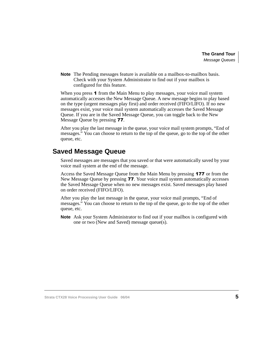**Note** The Pending messages feature is available on a mailbox-to-mailbox basis. Check with your System Administrator to find out if your mailbox is configured for this feature.

When you press 1 from the Main Menu to play messages, your voice mail system automatically accesses the New Message Queue. A new message begins to play based on the type (urgent messages play first) and order received (FIFO/LIFO). If no new messages exist, your voice mail system automatically accesses the Saved Message Queue. If you are in the Saved Message Queue, you can toggle back to the New Message Queue by pressing **77**.

After you play the last message in the queue, your voice mail system prompts, "End of messages." You can choose to return to the top of the queue, go to the top of the other queue, etc.

### <span id="page-16-0"></span>**Saved Message Queue**

Saved messages are messages that you saved or that were automatically saved by your voice mail system at the end of the message.

Access the Saved Message Queue from the Main Menu by pressing 177 or from the New Message Queue by pressing **77**. Your voice mail system automatically accesses the Saved Message Queue when no new messages exist. Saved messages play based on order received (FIFO/LIFO).

After you play the last message in the queue, your voice mail prompts, "End of messages." You can choose to return to the top of the queue, go to the top of the other queue, etc.

**Note** Ask your System Administrator to find out if your mailbox is configured with one or two (New and Saved) message queue(s).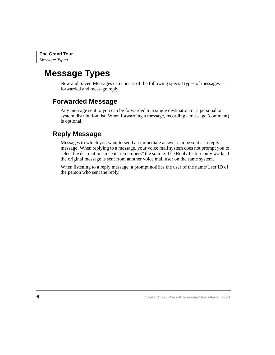## <span id="page-17-0"></span>**Message Types**

New and Saved Messages can consist of the following special types of messages forwarded and message reply.

### <span id="page-17-1"></span>**Forwarded Message**

Any message sent to you can be forwarded to a single destination or a personal or system distribution list. When forwarding a message, recording a message (comment) is optional.

### <span id="page-17-2"></span>**Reply Message**

Messages to which you want to send an immediate answer can be sent as a reply message. When replying to a message, your voice mail system does not prompt you to select the destination since it "remembers" the source. The Reply feature only works if the original message is sent from another voice mail user on the same system.

When listening to a reply message, a prompt notifies the user of the name/User ID of the person who sent the reply.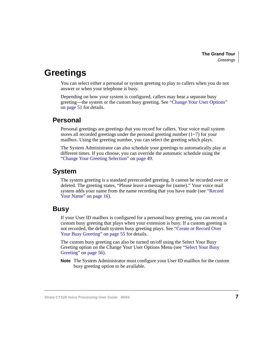## <span id="page-18-0"></span>**Greetings**

You can select either a personal or system greeting to play to callers when you do not answer or when your telephone is busy.

Depending on how your system is configured, callers may hear a separate busy greeting—the system or the custom busy greeting. [See "Change Your User Options"](#page-62-0)  [on page 51](#page-62-0) for details.

### <span id="page-18-1"></span>**Personal**

Personal greetings are greetings that you record for callers. Your voice mail system stores all recorded greetings under the personal greeting number  $(1-7)$  for your mailbox. Using the greeting number, you can select the greeting which plays.

The System Administrator can also schedule your greetings to automatically play at different times. If you choose, you can override the automatic schedule using the ["Change Your Greeting Selection" on page 49](#page-60-0).

### <span id="page-18-2"></span>**System**

The system greeting is a standard prerecorded greeting. It cannot be recorded over or deleted. The greeting states, "Please leave a message for (name)." Your voice mail system adds your name from the name recording that you have made (see ["Record](#page-27-0)  [Your Name" on page 16](#page-27-0)).

### <span id="page-18-3"></span>**Busy**

If your User ID mailbox is configured for a personal busy greeting, you can record a custom busy greeting that plays when your extension is busy. If a custom greeting is not recorded, the default system busy greeting plays. See ["Create or Record Over](#page-66-0)  [Your Busy Greeting" on page 55](#page-66-0) for details.

The custom busy greeting can also be turned on/off using the Select Your Busy Greeting option on the Change Your User Options Menu (see ["Select Your Busy](#page-67-0)  [Greeting" on page 56](#page-67-0)).

**Note** The System Administrator must configure your User ID mailbox for the custom busy greeting option to be available.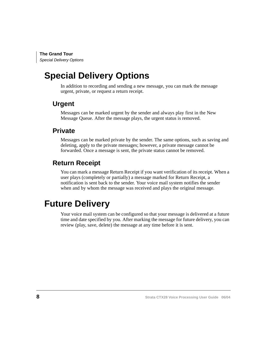# <span id="page-19-0"></span>**Special Delivery Options**

In addition to recording and sending a new message, you can mark the message urgent, private, or request a return receipt.

### <span id="page-19-1"></span>**Urgent**

Messages can be marked urgent by the sender and always play first in the New Message Queue. After the message plays, the urgent status is removed.

### <span id="page-19-2"></span>**Private**

Messages can be marked private by the sender. The same options, such as saving and deleting, apply to the private messages; however, a private message cannot be forwarded. Once a message is sent, the private status cannot be removed.

### <span id="page-19-3"></span>**Return Receipt**

You can mark a message Return Receipt if you want verification of its receipt. When a user plays (completely or partially) a message marked for Return Receipt, a notification is sent back to the sender. Your voice mail system notifies the sender when and by whom the message was received and plays the original message.

## <span id="page-19-4"></span>**Future Delivery**

Your voice mail system can be configured so that your message is delivered at a future time and date specified by you. After marking the message for future delivery, you can review (play, save, delete) the message at any time before it is sent.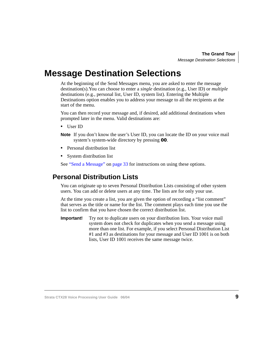## <span id="page-20-0"></span>**Message Destination Selections**

At the beginning of the Send Messages menu, you are asked to enter the message destination(s).You can choose to enter a *single* destination (e.g., User ID) or *multiple* destinations (e.g., personal list, User ID, system list). Entering the Multiple Destinations option enables you to address your message to all the recipients at the start of the menu.

You can then record your message and, if desired, add additional destinations when prompted later in the menu. Valid destinations are:

**•** User ID

**Note** If you don't know the user's User ID, you can locate the ID on your voice mail system's system-wide directory by pressing **00**.

- Personal distribution list
- **•** System distribution list

See ["Send a Message" on page 33](#page-44-0) for instructions on using these options.

### <span id="page-20-1"></span>**Personal Distribution Lists**

You can originate up to seven Personal Distribution Lists consisting of other system users. You can add or delete users at any time. The lists are for only your use.

At the time you create a list, you are given the option of recording a "list comment" that serves as the title or name for the list. The comment plays each time you use the list to confirm that you have chosen the correct distribution list.

**Important!** Try not to duplicate users on your distribution lists. Your voice mail system does not check for duplicates when you send a message using more than one list. For example, if you select Personal Distribution List #1 and #3 as destinations for your message and User ID 1001 is on both lists, User ID 1001 receives the same message twice.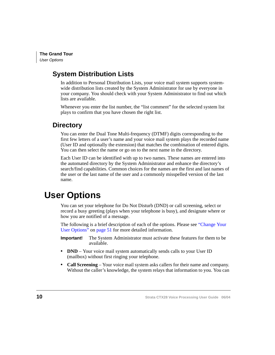### <span id="page-21-0"></span>**System Distribution Lists**

In addition to Personal Distribution Lists, your voice mail system supports systemwide distribution lists created by the System Administrator for use by everyone in your company. You should check with your System Administrator to find out which lists are available.

Whenever you enter the list number, the "list comment" for the selected system list plays to confirm that you have chosen the right list.

### <span id="page-21-1"></span>**Directory**

You can enter the Dual Tone Multi-frequency (DTMF) digits corresponding to the first few letters of a user's name and your voice mail system plays the recorded name (User ID and optionally the extension) that matches the combination of entered digits. You can then select the name or go on to the next name in the directory.

Each User ID can be identified with up to two names. These names are entered into the automated directory by the System Administrator and enhance the directory's search/find capabilities. Common choices for the names are the first and last names of the user or the last name of the user and a commonly misspelled version of the last name.

## <span id="page-21-2"></span>**User Options**

You can set your telephone for Do Not Disturb (DND) or call screening, select or record a busy greeting (plays when your telephone is busy), and designate where or how you are notified of a message.

The following is a brief description of each of the options. Please see ["Change Your](#page-62-0)  [User Options" on page 51](#page-62-0) for more detailed information.

- **Important!** The System Administrator must activate these features for them to be available.
- **DND** Your voice mail system automatically sends calls to your User ID (mailbox) without first ringing your telephone.
- **• Call Screening** Your voice mail system asks callers for their name and company. Without the caller's knowledge, the system relays that information to you. You can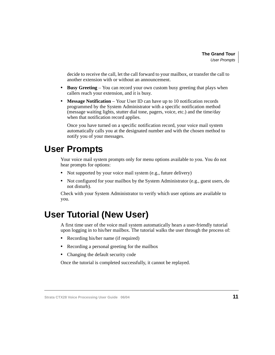decide to receive the call, let the call forward to your mailbox, or transfer the call to another extension with or without an announcement.

- **• Busy Greeting** You can record your own custom busy greeting that plays when callers reach your extension, and it is busy.
- **• Message Notification** Your User ID can have up to 10 notification records programmed by the System Administrator with a specific notification method (message waiting lights, stutter dial tone, pagers, voice, etc.) and the time/day when that notification record applies.

Once you have turned on a specific notification record, your voice mail system automatically calls you at the designated number and with the chosen method to notify you of your messages.

## <span id="page-22-0"></span>**User Prompts**

Your voice mail system prompts only for menu options available to you. You do not hear prompts for options:

- Not supported by your voice mail system (e.g., future delivery)
- **•** Not configured for your mailbox by the System Administrator (e.g., guest users, do not disturb).

Check with your System Administrator to verify which user options are available to you.

## <span id="page-22-1"></span>**User Tutorial (New User)**

A first time user of the voice mail system automatically hears a user-friendly tutorial upon logging in to his/her mailbox. The tutorial walks the user through the process of:

- **•** Recording his/her name (if required)
- Recording a personal greeting for the mailbox
- **•** Changing the default security code

Once the tutorial is completed successfully, it cannot be replayed.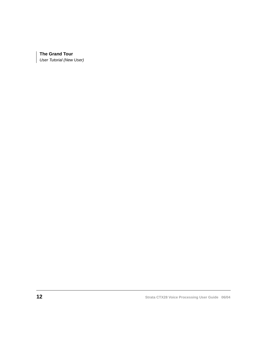**The Grand Tour** *User Tutorial (New User)*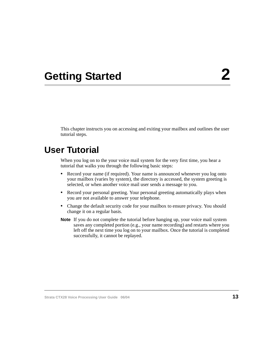<span id="page-24-0"></span>This chapter instructs you on accessing and exiting your mailbox and outlines the user tutorial steps.

## <span id="page-24-1"></span>**User Tutorial**

When you log on to the your voice mail system for the very first time, you hear a tutorial that walks you through the following basic steps:

- **•** Record your name (if required). Your name is announced whenever you log onto your mailbox (varies by system), the directory is accessed, the system greeting is selected, or when another voice mail user sends a message to you.
- **•** Record your personal greeting. Your personal greeting automatically plays when you are not available to answer your telephone.
- **•** Change the default security code for your mailbox to ensure privacy. You should change it on a regular basis.
- **Note** If you do not complete the tutorial before hanging up, your voice mail system saves any completed portion (e.g., your name recording) and restarts where you left off the next time you log on to your mailbox. Once the tutorial is completed successfully, it cannot be replayed.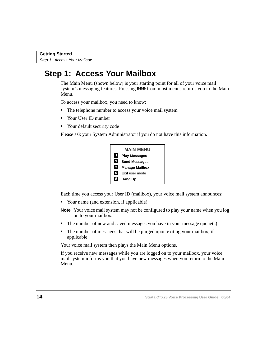## <span id="page-25-0"></span>**Step 1: Access Your Mailbox**

The Main Menu (shown below) is your starting point for all of your voice mail system's messaging features. Pressing **999** from most menus returns you to the Main Menu.

To access your mailbox, you need to know:

- The telephone number to access your voice mail system
- **•** Your User ID number
- Your default security code

Please ask your System Administrator if you do not have this information.



Each time you access your User ID (mailbox), your voice mail system announces:

- Your name (and extension, if applicable)
- **Note** Your voice mail system may not be configured to play your name when you log on to your mailbox.
- The number of new and saved messages you have in your message queue(s)
- The number of messages that will be purged upon exiting your mailbox, if applicable

Your voice mail system then plays the Main Menu options.

If you receive new messages while you are logged on to your mailbox, your voice mail system informs you that you have new messages when you return to the Main Menu.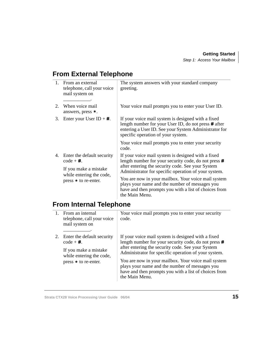### <span id="page-26-0"></span>**From External Telephone**

|    | 1. From an external<br>telephone, call your voice<br>mail system on             | The system answers with your standard company<br>greeting.                                                                                                                                                |
|----|---------------------------------------------------------------------------------|-----------------------------------------------------------------------------------------------------------------------------------------------------------------------------------------------------------|
| 2. | When voice mail<br>answers, press *.                                            | Your voice mail prompts you to enter your User ID.                                                                                                                                                        |
| 3. | Enter your User ID + $\sharp$ .                                                 | If your voice mail system is designed with a fixed<br>length number for your User ID, do not press # after<br>entering a User ID. See your System Administrator for<br>specific operation of your system. |
|    |                                                                                 | Your voice mail prompts you to enter your security<br>code.                                                                                                                                               |
| 4. | Enter the default security<br>$code + #.$                                       | If your voice mail system is designed with a fixed<br>length number for your security code, do not press #                                                                                                |
|    | If you make a mistake<br>while entering the code,<br>press $\star$ to re-enter. | after entering the security code. See your System<br>Administrator for specific operation of your system.                                                                                                 |
|    |                                                                                 | You are now in your mailbox. Your voice mail system<br>plays your name and the number of messages you<br>have and then prompts you with a list of choices from<br>the Main Menu.                          |

### <span id="page-26-1"></span>**From Internal Telephone**

| From an internal<br>telephone, call your voice<br>mail system on                                                                 | Your voice mail prompts you to enter your security<br>code.                                                                                                                                                                                                                                                                                                                                                 |
|----------------------------------------------------------------------------------------------------------------------------------|-------------------------------------------------------------------------------------------------------------------------------------------------------------------------------------------------------------------------------------------------------------------------------------------------------------------------------------------------------------------------------------------------------------|
| 2. Enter the default security<br>$code + #$ .<br>If you make a mistake<br>while entering the code,<br>press $\star$ to re-enter. | If your voice mail system is designed with a fixed<br>length number for your security code, do not press #<br>after entering the security code. See your System<br>Administrator for specific operation of your system.<br>You are now in your mailbox. Your voice mail system<br>plays your name and the number of messages you<br>have and then prompts you with a list of choices from<br>the Main Menu. |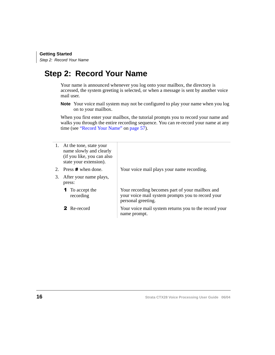## <span id="page-27-0"></span>**Step 2: Record Your Name**

Your name is announced whenever you log onto your mailbox, the directory is accessed, the system greeting is selected, or when a message is sent by another voice mail user.

**Note** Your voice mail system may not be configured to play your name when you log on to your mailbox.

When you first enter your mailbox, the tutorial prompts you to record your name and walks you through the entire recording sequence. You can re-record your name at any time (see ["Record Your Name" on page 57](#page-68-0)).

| 1. | At the tone, state your<br>name slowly and clearly<br>(if you like, you can also<br>state your extension). |                                                                                                                            |
|----|------------------------------------------------------------------------------------------------------------|----------------------------------------------------------------------------------------------------------------------------|
|    | 2. Press $\#$ when done.                                                                                   | Your voice mail plays your name recording.                                                                                 |
| 3. | After your name plays,<br>press:                                                                           |                                                                                                                            |
|    | <b>1</b> To accept the<br>recording                                                                        | Your recording becomes part of your mailbox and<br>your voice mail system prompts you to record your<br>personal greeting. |
|    | <b>2</b> Re-record                                                                                         | Your voice mail system returns you to the record your<br>name prompt.                                                      |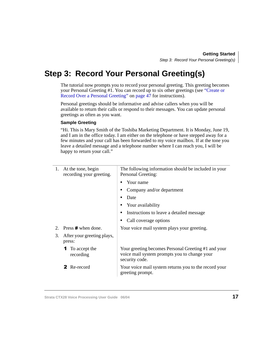## <span id="page-28-0"></span>**Step 3: Record Your Personal Greeting(s)**

The tutorial now prompts you to record your personal greeting. This greeting becomes your Personal Greeting #1. You can record up to six other greetings (see ["Create or](#page-58-0)  [Record Over a Personal Greeting" on page 47](#page-58-0) for instructions).

Personal greetings should be informative and advise callers when you will be available to return their calls or respond to their messages. You can update personal greetings as often as you want.

#### **Sample Greeting**

"Hi. This is Mary Smith of the Toshiba Marketing Department. It is Monday, June 19, and I am in the office today. I am either on the telephone or have stepped away for a few minutes and your call has been forwarded to my voice mailbox. If at the tone you leave a detailed message and a telephone number where I can reach you, I will be happy to return your call."

|    | 1. At the tone, begin<br>recording your greeting. | The following information should be included in your<br>Personal Greeting:                                            |
|----|---------------------------------------------------|-----------------------------------------------------------------------------------------------------------------------|
|    |                                                   | Your name                                                                                                             |
|    |                                                   | Company and/or department                                                                                             |
|    |                                                   | Date<br>٠                                                                                                             |
|    |                                                   | Your availability                                                                                                     |
|    |                                                   | Instructions to leave a detailed message.                                                                             |
|    |                                                   | Call coverage options                                                                                                 |
| 2. | Press $\#$ when done.                             | Your voice mail system plays your greeting.                                                                           |
| 3. | After your greeting plays,<br>press:              |                                                                                                                       |
|    | To accept the<br>1.<br>recording                  | Your greeting becomes Personal Greeting #1 and your<br>voice mail system prompts you to change your<br>security code. |
|    | <b>2</b> Re-record                                | Your voice mail system returns you to the record your<br>greeting prompt.                                             |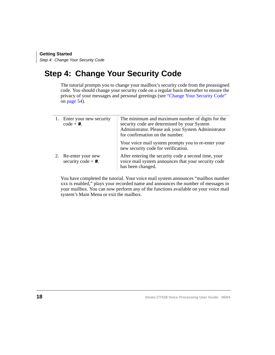#### **Getting Started**

*Step 4: Change Your Security Code*

## <span id="page-29-0"></span>**Step 4: Change Your Security Code**

The tutorial prompts you to change your mailbox's security code from the preassigned code. You should change your security code on a regular basis thereafter to ensure the privacy of your messages and personal greetings (see ["Change Your Security Code"](#page-65-0)  [on page 54](#page-65-0)).

|    | 1. Enter your new security<br>$code + #.$ | The minimum and maximum number of digits for the<br>security code are determined by your System<br>Administrator. Please ask your System Administrator<br>for confirmation on the number. |
|----|-------------------------------------------|-------------------------------------------------------------------------------------------------------------------------------------------------------------------------------------------|
|    |                                           | Your voice mail system prompts you to re-enter your<br>new security code for verification.                                                                                                |
| 2. | Re-enter your new<br>security code $+$ #. | After entering the security code a second time, your<br>voice mail system announces that your security code<br>has been changed.                                                          |

You have completed the tutorial. Your voice mail system announces "mailbox number xxx is enabled," plays your recorded name and announces the number of messages in your mailbox. You can now perform any of the functions available on your voice mail system's Main Menu or exit the mailbox.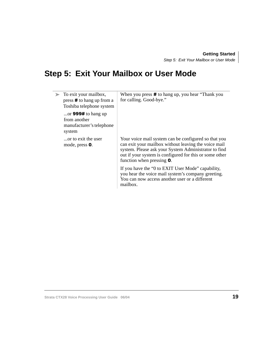## <span id="page-30-0"></span>**Step 5: Exit Your Mailbox or User Mode**

|                        | To exit your mailbox,<br>press $\#$ to hang up from a<br>Toshiba telephone system | When you press <b>#</b> to hang up, you hear "Thank you<br>for calling. Good-bye."                                                                                                                                                                                       |
|------------------------|-----------------------------------------------------------------------------------|--------------------------------------------------------------------------------------------------------------------------------------------------------------------------------------------------------------------------------------------------------------------------|
| from another<br>system | or $999\#$ to hang up<br>manufacturer's telephone                                 |                                                                                                                                                                                                                                                                          |
| mode, press <b>0</b> . | or to exit the user                                                               | Your voice mail system can be configured so that you<br>can exit your mailbox without leaving the voice mail<br>system. Please ask your System Administrator to find<br>out if your system is configured for this or some other<br>function when pressing $\mathbf{0}$ . |
|                        |                                                                                   | If you have the "0 to EXIT User Mode" capability,<br>you hear the voice mail system's company greeting.<br>You can now access another user or a different<br>mailbox.                                                                                                    |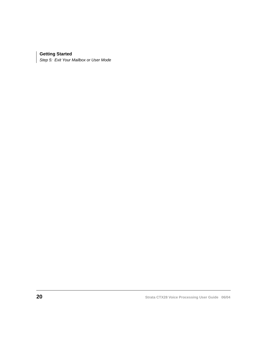#### **Getting Started**

*Step 5: Exit Your Mailbox or User Mode*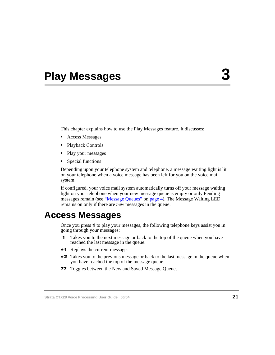<span id="page-32-0"></span>This chapter explains how to use the Play Messages feature. It discusses:

- **•** Access Messages
- **•** Playback Controls
- **•** Play your messages
- **•** Special functions

Depending upon your telephone system and telephone, a message waiting light is lit on your telephone when a voice message has been left for you on the voice mail system.

If configured, your voice mail system automatically turns off your message waiting light on your telephone when your new message queue is empty or only Pending messages remain (see ["Message Queues" on page 4](#page-15-1)). The Message Waiting LED remains on only if there are *new* messages in the queue.

## <span id="page-32-1"></span>**Access Messages**

Once you press 1 to play your messages, the following telephone keys assist you in going through your messages:

- $\blacktriangleleft$  Takes you to the next message or back to the top of the queue when you have reached the last message in the queue.
- \*1 Replays the current message.
- \*2 Takes you to the previous message or back to the last message in the queue when you have reached the top of the message queue.
- **77** Toggles between the New and Saved Message Queues.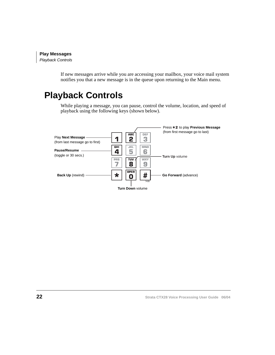If new messages arrive while you are accessing your mailbox, your voice mail system notifies you that a new message is in the queue upon returning to the Main menu.

## <span id="page-33-0"></span>**Playback Controls**

While playing a message, you can pause, control the volume, location, and speed of playback using the following keys (shown below).

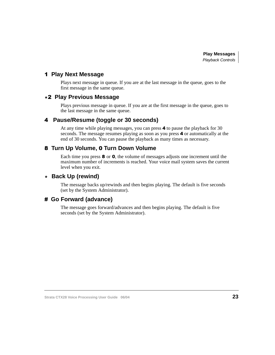#### **Play Next Message**

Plays next message in queue. If you are at the last message in the queue, goes to the first message in the same queue.

#### **\*2 Play Previous Message**

Plays previous message in queue. If you are at the first message in the queue, goes to the last message in the same queue.

#### **Pause/Resume (toggle or 30 seconds)**

At any time while playing messages, you can press  $\boldsymbol{4}$  to pause the playback for 30 seconds. The message resumes playing as soon as you press 4 or automatically at the end of 30 seconds. You can pause the playback as many times as necessary.

#### **Turn Up Volume, Turn Down Volume**

Each time you press  $\bf{8}$  or  $\bf{0}$ , the volume of messages adjusts one increment until the maximum number of increments is reached. Your voice mail system saves the current level when you exit.

#### **Back Up (rewind)**

The message backs up/rewinds and then begins playing. The default is five seconds (set by the System Administrator).

#### **Go Forward (advance)**

The message goes forward/advances and then begins playing. The default is five seconds (set by the System Administrator).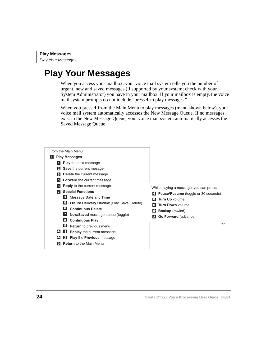## <span id="page-35-0"></span>**Play Your Messages**

When you access your mailbox, your voice mail system tells you the number of urgent, new and saved messages (if supported by your system; check with your System Administrator) you have in your mailbox. If your mailbox is empty, the voice mail system prompts do not include "press 1 to play messages."

When you press 1 from the Main Menu to play messages (menu shown below), your voice mail system automatically accesses the New Message Queue. If no messages exist in the New Message Queue, your voice mail system automatically accesses the Saved Message Queue.

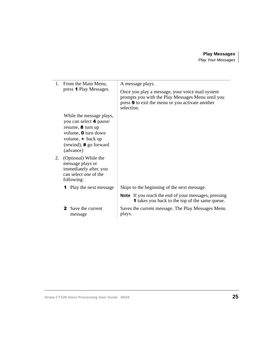| 1. | From the Main Menu,<br>press 1 Play Messages.                                                                                                                         | A message plays.<br>Once you play a message, your voice mail system<br>prompts you with the Play Messages Menu until you<br>press 9 to exit the menu or you activate another<br>selection. |
|----|-----------------------------------------------------------------------------------------------------------------------------------------------------------------------|--------------------------------------------------------------------------------------------------------------------------------------------------------------------------------------------|
|    | While the message plays,<br>you can select 4 pause/<br>resume, 8 turn up<br>volume, <b>0</b> turn down<br>volume, * back up<br>(rewind), $\#$ go forward<br>(advance) |                                                                                                                                                                                            |
| 2. | (Optional) While the<br>message plays or<br>immediately after, you<br>can select one of the<br>following:                                                             |                                                                                                                                                                                            |
|    | Play the next message<br>1                                                                                                                                            | Skips to the beginning of the next message.                                                                                                                                                |
|    |                                                                                                                                                                       | <b>Note</b> If you reach the end of your messages, pressing<br><b>1</b> takes you back to the top of the same queue.                                                                       |
|    | <b>2</b> Save the current<br>message                                                                                                                                  | Saves the current message. The Play Messages Menu<br>plays.                                                                                                                                |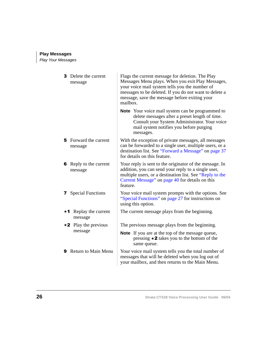#### **Play Messages**

*Play Your Messages*

| Delete the current<br>3<br>message      | Flags the current message for deletion. The Play<br>Messages Menu plays. When you exit Play Messages,<br>your voice mail system tells you the number of<br>messages to be deleted. If you do not want to delete a<br>message, save the message before exiting your<br>mailbox. |  |  |
|-----------------------------------------|--------------------------------------------------------------------------------------------------------------------------------------------------------------------------------------------------------------------------------------------------------------------------------|--|--|
|                                         | <b>Note</b> Your voice mail system can be programmed to<br>delete messages after a preset length of time.<br>Consult your System Administrator. Your voice<br>mail system notifies you before purging<br>messages.                                                             |  |  |
| <b>5</b> Forward the current<br>message | With the exception of private messages, all messages<br>can be forwarded to a single user, multiple users, or a<br>destination list. See "Forward a Message" on page 37<br>for details on this feature.                                                                        |  |  |
| Reply to the current<br>6<br>message    | Your reply is sent to the originator of the message. In<br>addition, you can send your reply to a single user,<br>multiple users, or a destination list. See "Reply to the<br>Current Message" on page 40 for details on this<br>feature.                                      |  |  |
| <b>7</b> Special Functions              | Your voice mail system prompts with the options. See<br>"Special Functions" on page 27 for instructions on<br>using this option.                                                                                                                                               |  |  |
| Replay the current<br>*1<br>message     | The current message plays from the beginning.                                                                                                                                                                                                                                  |  |  |
| <b>*2</b> Play the previous             | The previous message plays from the beginning.                                                                                                                                                                                                                                 |  |  |
| message                                 | Note If you are at the top of the message queue,<br>pressing <b>*2</b> takes you to the bottom of the<br>same queue.                                                                                                                                                           |  |  |
| Return to Main Menu<br>9                | Your voice mail system tells you the total number of<br>messages that will be deleted when you log out of<br>your mailbox, and then returns to the Main Menu.                                                                                                                  |  |  |

×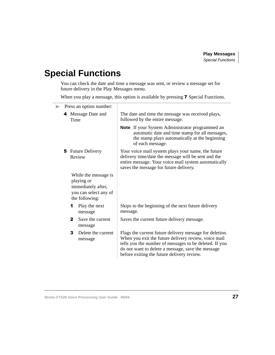## <span id="page-38-0"></span>**Special Functions**

You can check the date and time a message was sent, or review a message set for future delivery in the Play Messages menu.

When you play a message, this option is available by pressing **7** Special Functions.

|                                                                                                     |  |                                    | Press an option number:       |                                                                                                                                                                                                                                                                              |
|-----------------------------------------------------------------------------------------------------|--|------------------------------------|-------------------------------|------------------------------------------------------------------------------------------------------------------------------------------------------------------------------------------------------------------------------------------------------------------------------|
|                                                                                                     |  | Time                               | 4 Message Date and            | The date and time the message was received plays,<br>followed by the entire message.                                                                                                                                                                                         |
|                                                                                                     |  |                                    |                               | <b>Note</b> If your System Administrator programmed an<br>automatic date and time stamp for all messages,<br>the stamp plays automatically at the beginning<br>of each message.                                                                                              |
|                                                                                                     |  | <b>5</b> Future Delivery<br>Review |                               | Your voice mail system plays your name, the future<br>delivery time/date the message will be sent and the<br>entire message. Your voice mail system automatically<br>saves the message for future delivery.                                                                  |
| While the message is<br>playing or<br>immediately after,<br>you can select any of<br>the following: |  |                                    |                               |                                                                                                                                                                                                                                                                              |
|                                                                                                     |  | 1                                  | Play the next<br>message      | Skips to the beginning of the next future delivery<br>message.                                                                                                                                                                                                               |
|                                                                                                     |  | $\mathbf{2}$                       | Save the current<br>message   | Saves the current future delivery message.                                                                                                                                                                                                                                   |
|                                                                                                     |  | 3                                  | Delete the current<br>message | Flags the current future delivery message for deletion.<br>When you exit the future delivery review, voice mail<br>tells you the number of messages to be deleted. If you<br>do not want to delete a message, save the message<br>before exiting the future delivery review. |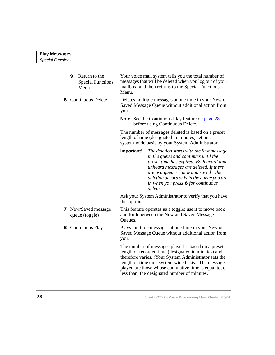<span id="page-39-0"></span>

|   | 9 | Return to the<br><b>Special Functions</b><br>Menu | Your voice mail system tells you the total number of<br>messages that will be deleted when you log out of your<br>mailbox, and then returns to the Special Functions<br>Menu.                                                                                                                                           |                                                                                                                                                                                                                                                                                                                                      |  |
|---|---|---------------------------------------------------|-------------------------------------------------------------------------------------------------------------------------------------------------------------------------------------------------------------------------------------------------------------------------------------------------------------------------|--------------------------------------------------------------------------------------------------------------------------------------------------------------------------------------------------------------------------------------------------------------------------------------------------------------------------------------|--|
|   |   | <b>6</b> Continuous Delete                        | Deletes multiple messages at one time in your New or<br>Saved Message Queue without additional action from<br>you.                                                                                                                                                                                                      |                                                                                                                                                                                                                                                                                                                                      |  |
|   |   |                                                   |                                                                                                                                                                                                                                                                                                                         | <b>Note</b> See the Continuous Play feature on page 28<br>before using Continuous Delete.                                                                                                                                                                                                                                            |  |
|   |   |                                                   |                                                                                                                                                                                                                                                                                                                         | The number of messages deleted is based on a preset<br>length of time (designated in minutes) set on a<br>system-wide basis by your System Administrator.                                                                                                                                                                            |  |
|   |   |                                                   | Important!<br>The deletion starts with the first message<br>in the queue and continues until the<br>preset time has expired. Both heard and<br>unheard messages are deleted. If there<br>are two queues—new and saved—the<br>deletion occurs only in the queue you are<br>in when you press 6 for continuous<br>delete. |                                                                                                                                                                                                                                                                                                                                      |  |
|   |   |                                                   | Ask your System Administrator to verify that you have<br>this option.                                                                                                                                                                                                                                                   |                                                                                                                                                                                                                                                                                                                                      |  |
| 7 |   | New/Saved message<br>queue (toggle)               | This feature operates as a toggle; use it to move back<br>and forth between the New and Saved Message<br>Queues.                                                                                                                                                                                                        |                                                                                                                                                                                                                                                                                                                                      |  |
|   |   | <b>8</b> Continuous Play                          | Plays multiple messages at one time in your New or<br>Saved Message Queue without additional action from<br>you.                                                                                                                                                                                                        |                                                                                                                                                                                                                                                                                                                                      |  |
|   |   |                                                   |                                                                                                                                                                                                                                                                                                                         | The number of messages played is based on a preset<br>length of recorded time (designated in minutes) and<br>therefore varies. (Your System Administrator sets the<br>length of time on a system-wide basis.) The messages<br>played are those whose cumulative time is equal to, or<br>less than, the designated number of minutes. |  |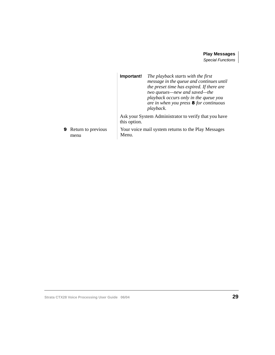|          | The playback starts with the first<br>Important!<br>message in the queue and continues until<br>the preset time has expired. If there are<br>two queues—new and saved—the<br>playback occurs only in the queue you<br>are in when you press $\boldsymbol{8}$ for continuous<br><i>playback.</i> |
|----------|-------------------------------------------------------------------------------------------------------------------------------------------------------------------------------------------------------------------------------------------------------------------------------------------------|
|          | Ask your System Administrator to verify that you have<br>this option.                                                                                                                                                                                                                           |
| previous | Your voice mail system returns to the Play Messages<br>Menu.                                                                                                                                                                                                                                    |

**9** Return to menu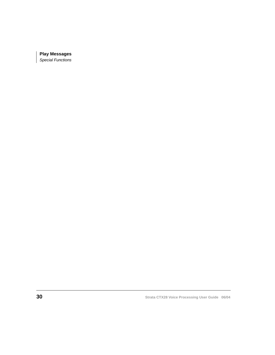#### **Play Messages**

*Special Functions*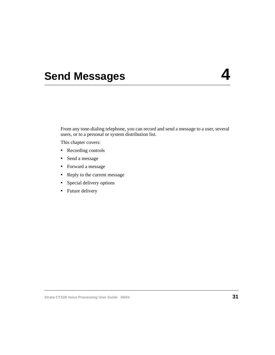From any tone-dialing telephone, you can record and send a message to a user, several users, or to a personal or system distribution list.

This chapter covers:

- **•** Recording controls
- **•** Send a message
- **•** Forward a message
- **•** Reply to the current message
- **•** Special delivery options
- **•** Future delivery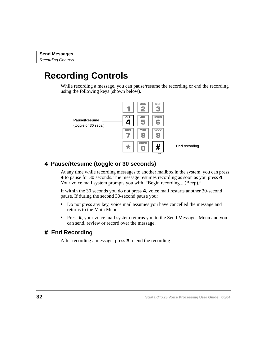# **Recording Controls**

While recording a message, you can pause/resume the recording or end the recording using the following keys (shown below).



#### **Pause/Resume (toggle or 30 seconds)**

At any time while recording messages to another mailbox in the system, you can press **4** to pause for 30 seconds. The message resumes recording as soon as you press **4**. Your voice mail system prompts you with, "Begin recording... (Beep)."

If within the 30 seconds you do not press 4, voice mail restarts another 30-second pause. If during the second 30-second pause you:

- **•** Do not press any key, voice mail assumes you have cancelled the message and returns to the Main Menu.
- Press **#**, your voice mail system returns you to the Send Messages Menu and you can send, review or record over the message.

#### **End Recording**

After recording a message, press  $\#$  to end the recording.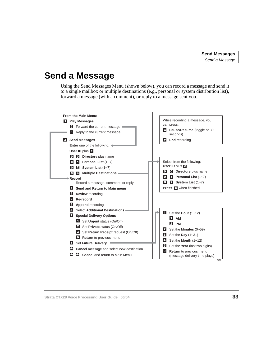## **Send a Message**

Using the Send Messages Menu (shown below), you can record a message and send it to a single mailbox or multiple destinations (e.g., personal or system distribution list), forward a message (with a comment), or reply to a message sent you.

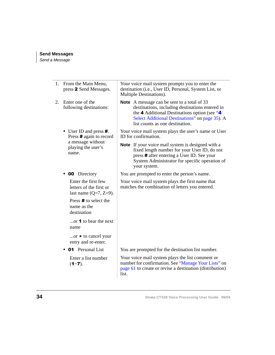<span id="page-45-0"></span> $\overline{\phantom{0}}$ 

| 1. | From the Main Menu,<br>press 2 Send Messages.                              | Your voice mail system prompts you to enter the<br>destination (i.e., User ID, Personal, System List, or<br>Multiple Destinations).                                                                                                         |  |
|----|----------------------------------------------------------------------------|---------------------------------------------------------------------------------------------------------------------------------------------------------------------------------------------------------------------------------------------|--|
| 2. | Enter one of the<br>following destinations:                                | <b>Note</b> A message can be sent to a total of 33<br>destinations, including destinations entered in<br>the 4 Additional Destinations option (see "4"<br>Select Additional Destinations" on page 35). A<br>list counts as one destination. |  |
|    | • User ID and press #.<br>Press # again to record                          | Your voice mail system plays the user's name or User<br>ID for confirmation.                                                                                                                                                                |  |
|    | a message without<br>playing the user's<br>name.                           | <b>Note</b> If your voice mail system is designed with a<br>fixed length number for your User ID, do not<br>press # after entering a User ID. See your<br>System Administrator for specific operation of<br>your system.                    |  |
|    | <b>00</b> Directory<br>$\bullet$                                           | You are prompted to enter the person's name.                                                                                                                                                                                                |  |
|    | Enter the first few<br>letters of the first or<br>last name $(Q=7, Z=9)$ . | Your voice mail system plays the first name that<br>matches the combination of letters you entered.                                                                                                                                         |  |
|    | Press # to select the<br>name as the<br>destination                        |                                                                                                                                                                                                                                             |  |
|    | or $\uparrow$ to hear the next<br>name                                     |                                                                                                                                                                                                                                             |  |
|    | or * to cancel your<br>entry and re-enter.                                 |                                                                                                                                                                                                                                             |  |
|    | <b>01</b> Personal List                                                    | You are prompted for the destination list number.                                                                                                                                                                                           |  |
|    | Enter a list number<br>$(1 - 7)$ .                                         | Your voice mail system plays the list comment or<br>number for confirmation. See "Manage Your Lists" on<br>page 61 to create or revise a destination (distribution)<br>list.                                                                |  |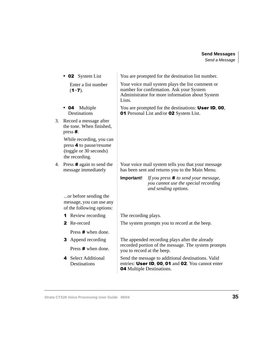<span id="page-46-0"></span>

|    | • 02 System List                                                                                | You are prompted for the destination list number.                                                                                                         |
|----|-------------------------------------------------------------------------------------------------|-----------------------------------------------------------------------------------------------------------------------------------------------------------|
|    | Enter a list number<br>$(1 - 7)$ .                                                              | Your voice mail system plays the list comment or<br>number for confirmation. Ask your System<br>Administrator for more information about System<br>Lists. |
|    | • 04 Multiple<br>Destinations                                                                   | You are prompted for the destinations: <b>User ID, 00</b> ,<br><b>01</b> Personal List and/or <b>02</b> System List.                                      |
| 3. | Record a message after<br>the tone. When finished,<br>press #.                                  |                                                                                                                                                           |
|    | While recording, you can<br>press 4 to pause/resume<br>(toggle or 30 seconds)<br>the recording. |                                                                                                                                                           |
| 4. | Press # again to send the<br>message immediately                                                | Your voice mail system tells you that your message<br>has been sent and returns you to the Main Menu.                                                     |
|    |                                                                                                 | Important!<br>If you press $\#$ to send your message,<br>you cannot use the special recording<br>and sending options.                                     |
|    | or before sending the<br>message, you can use any<br>of the following options:                  |                                                                                                                                                           |
|    | Review recording<br>1                                                                           | The recording plays.                                                                                                                                      |
|    | <b>2</b> Re-record                                                                              | The system prompts you to record at the beep.                                                                                                             |
|    | Press # when done.                                                                              |                                                                                                                                                           |
|    | <b>3</b> Append recording                                                                       | The appended recording plays after the already                                                                                                            |
|    | Press # when done.                                                                              | recorded portion of the message. The system prompts<br>you to record at the beep.                                                                         |
|    | <b>4</b> Select Additional<br>Destinations                                                      | Send the message to additional destinations. Valid<br>entries: User ID, 00, 01 and 02. You cannot enter<br><b>04</b> Multiple Destinations.               |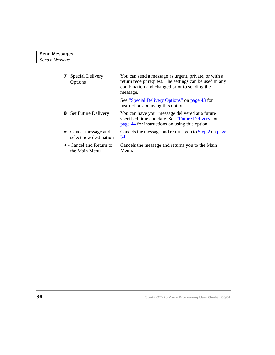#### **Send Messages**

*Send a Message*

|                                                     | <b>Special Delivery</b><br>Options             | You can send a message as urgent, private, or with a<br>return receipt request. The settings can be used in any<br>combination and changed prior to sending the<br>message. |
|-----------------------------------------------------|------------------------------------------------|-----------------------------------------------------------------------------------------------------------------------------------------------------------------------------|
|                                                     |                                                | See "Special Delivery Options" on page 43 for<br>instructions on using this option.                                                                                         |
|                                                     | <b>8</b> Set Future Delivery                   | You can have your message delivered at a future<br>specified time and date. See "Future Delivery" on<br>page 44 for instructions on using this option.                      |
|                                                     | * Cancel message and<br>select new destination | Cancels the message and returns you to Step 2 on page<br>34.                                                                                                                |
| $\star \star$ Cancel and Return to<br>the Main Menu |                                                | Cancels the message and returns you to the Main<br>Menu.                                                                                                                    |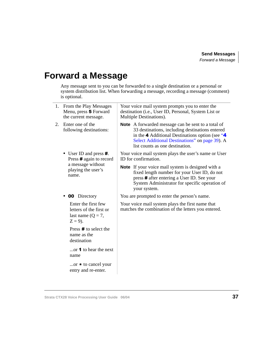### <span id="page-48-0"></span>**Forward a Message**

Any message sent to you can be forwarded to a single destination or a personal or system distribution list. When forwarding a message, recording a message (comment) is optional.

<span id="page-48-1"></span>

|    | 1. From the Play Messages<br>Menu, press 5 Forward<br>the current message.                              | Your voice mail system prompts you to enter the<br>destination (i.e., User ID, Personal, System List or<br>Multiple Destinations).                                                                                                                   |
|----|---------------------------------------------------------------------------------------------------------|------------------------------------------------------------------------------------------------------------------------------------------------------------------------------------------------------------------------------------------------------|
| 2. | Enter one of the<br>following destinations:                                                             | <b>Note</b> A forwarded message can be sent to a total of<br>33 destinations, including destinations entered<br>in the 4 Additional Destinations option (see "4<br>Select Additional Destinations" on page 39). A<br>list counts as one destination. |
|    | User ID and press $\#$ .<br>Press # again to record<br>a message without<br>playing the user's<br>name. | Your voice mail system plays the user's name or User<br>ID for confirmation.                                                                                                                                                                         |
|    |                                                                                                         | <b>Note</b> If your voice mail system is designed with a<br>fixed length number for your User ID, do not<br>press # after entering a User ID. See your<br>System Administrator for specific operation of<br>your system.                             |
|    | <b>00</b> Directory                                                                                     | You are prompted to enter the person's name.                                                                                                                                                                                                         |
|    | Enter the first few<br>letters of the first or<br>last name $(Q = 7,$<br>$Z = 9$ ).                     | Your voice mail system plays the first name that<br>matches the combination of the letters you entered.                                                                                                                                              |
|    | Press # to select the<br>name as the<br>destination                                                     |                                                                                                                                                                                                                                                      |
|    | or <b>1</b> to hear the next<br>name                                                                    |                                                                                                                                                                                                                                                      |
|    | or * to cancel your<br>entry and re-enter.                                                              |                                                                                                                                                                                                                                                      |
|    |                                                                                                         |                                                                                                                                                                                                                                                      |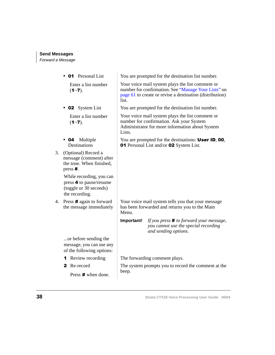| <b>01</b> Personal List                                                                          | You are prompted for the destination list number.                                                                                                                            |
|--------------------------------------------------------------------------------------------------|------------------------------------------------------------------------------------------------------------------------------------------------------------------------------|
| Enter a list number<br>$(1 - 7)$ .                                                               | Your voice mail system plays the list comment or<br>number for confirmation. See "Manage Your Lists" on<br>page 61 to create or revise a destination (distribution)<br>list. |
| <b>02</b> System List<br>$\bullet$                                                               | You are prompted for the destination list number.                                                                                                                            |
| Enter a list number<br>$(1 - 7)$ .                                                               | Your voice mail system plays the list comment or<br>number for confirmation. Ask your System<br>Administrator for more information about System<br>Lists.                    |
| • 04 Multiple<br>Destinations                                                                    | You are prompted for the destinations: User ID, 00,<br>01 Personal List and/or 02 System List.                                                                               |
| (Optional) Record a<br>3.<br>message (comment) after<br>the tone. When finished,<br>press $\#$ . |                                                                                                                                                                              |
| While recording, you can<br>press 4 to pause/resume<br>(toggle or 30 seconds)<br>the recording.  |                                                                                                                                                                              |
| 4. Press $\#$ again to forward<br>the message immediately                                        | Your voice mail system tells you that your message<br>has been forwarded and returns you to the Main<br>Menu.                                                                |
|                                                                                                  | Important!<br>If you press $\#$ to forward your message,<br>you cannot use the special recording<br>and sending options.                                                     |
| or before sending the<br>message, you can use any<br>of the following options:                   |                                                                                                                                                                              |
| <b>1</b> Review recording                                                                        | The forwarding comment plays.                                                                                                                                                |
| <b>2</b> Re-record                                                                               | The system prompts you to record the comment at the                                                                                                                          |
| Press # when done.                                                                               | beep.                                                                                                                                                                        |

í.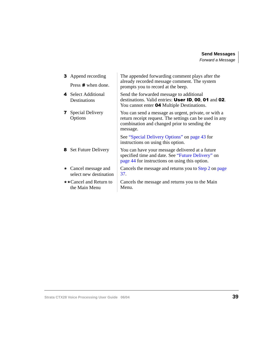<span id="page-50-0"></span>

| 3. | Append recording<br>Press $\#$ when done.           | The appended forwarding comment plays after the<br>already recorded message comment. The system<br>prompts you to record at the beep.                                       |
|----|-----------------------------------------------------|-----------------------------------------------------------------------------------------------------------------------------------------------------------------------------|
|    | <b>4</b> Select Additional<br>Destinations          | Send the forwarded message to additional<br>destinations. Valid entries: User ID, 00, 01 and 02.<br>You cannot enter <b>04</b> Multiple Destinations.                       |
|    | <b>7</b> Special Delivery<br>Options                | You can send a message as urgent, private, or with a<br>return receipt request. The settings can be used in any<br>combination and changed prior to sending the<br>message. |
|    |                                                     | See "Special Delivery Options" on page 43 for<br>instructions on using this option.                                                                                         |
|    | <b>8</b> Set Future Delivery                        | You can have your message delivered at a future<br>specified time and date. See "Future Delivery" on<br>page 44 for instructions on using this option.                      |
|    | * Cancel message and<br>select new destination      | Cancels the message and returns you to Step 2 on page<br>37.                                                                                                                |
|    | $\star \star$ Cancel and Return to<br>the Main Menu | Cancels the message and returns you to the Main<br>Menu.                                                                                                                    |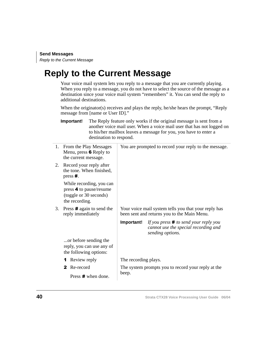# <span id="page-51-0"></span>**Reply to the Current Message**

Your voice mail system lets you reply to a message that you are currently playing. When you reply to a message, you do not have to select the source of the message as a destination since your voice mail system "remembers" it. You can send the reply to additional destinations.

When the originator(s) receives and plays the reply, he/she hears the prompt, "Reply message from [name or User ID]."

**Important!** The Reply feature only works if the original message is sent from a another voice mail user. When a voice mail user that has not logged on to his/her mailbox leaves a message for you, you have to enter a destination to respond.

<span id="page-51-1"></span>

| 1. | From the Play Messages<br>Menu, press 6 Reply to<br>the current message.                        |                                                                                                     | You are prompted to record your reply to the message.                                                |
|----|-------------------------------------------------------------------------------------------------|-----------------------------------------------------------------------------------------------------|------------------------------------------------------------------------------------------------------|
| 2. | Record your reply after<br>the tone. When finished,<br>press $\#$ .                             |                                                                                                     |                                                                                                      |
|    | While recording, you can<br>press 4 to pause/resume<br>(toggle or 30 seconds)<br>the recording. |                                                                                                     |                                                                                                      |
| 3. | Press $\#$ again to send the<br>reply immediately                                               | Your voice mail system tells you that your reply has<br>been sent and returns you to the Main Menu. |                                                                                                      |
|    |                                                                                                 | Important!                                                                                          | If you press $\#$ to send your reply you<br>cannot use the special recording and<br>sending options. |
|    | or before sending the<br>reply, you can use any of<br>the following options:                    |                                                                                                     |                                                                                                      |
|    | Review reply<br>1                                                                               | The recording plays.                                                                                |                                                                                                      |
|    | <b>2</b> Re-record                                                                              | The system prompts you to record your reply at the                                                  |                                                                                                      |
|    | Press $\#$ when done.                                                                           | beep.                                                                                               |                                                                                                      |
|    |                                                                                                 |                                                                                                     |                                                                                                      |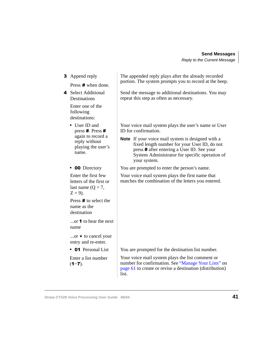- **3** Append reply Press # when done.
- 4 Select Additional **Destinations**

Enter one of the following destinations:

• User ID and press  $\sharp$ . Press  $\sharp$ again to record a reply without playing the user's name.

Enter the first few letters of the first or last name  $(Q = 7)$ ,  $Z = 9$ ).

Press  $#$  to select the name as the destination

...or **1** to hear the next name

 $\ldots$ or  $\star$  to cancel your entry and re-enter.

• **01** Personal List

Enter a list number  $(1 - 7)$ .

The appended reply plays after the already recorded portion. The system prompts you to record at the beep.

Send the message to additional destinations. You may repeat this step as often as necessary.

Your voice mail system plays the user's name or User ID for confirmation.

**Note** If your voice mail system is designed with a fixed length number for your User ID, do not press # after entering a User ID. See your System Administrator for specific operation of your system.

• **00** Directory  $\vert$  You are prompted to enter the person's name.

Your voice mail system plays the first name that matches the combination of the letters you entered.

You are prompted for the destination list number.

Your voice mail system plays the list comment or number for confirmation. [See "Manage Your Lists" on](#page-72-0)  [page 61](#page-72-0) to create or revise a destination (distribution) list.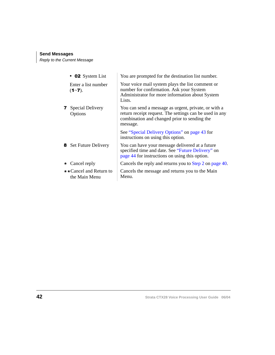|         | • 02 System List                        | You are prompted for the destination list number.                                                                                                                           |
|---------|-----------------------------------------|-----------------------------------------------------------------------------------------------------------------------------------------------------------------------------|
|         | Enter a list number<br>$(1 - 7)$ .      | Your voice mail system plays the list comment or<br>number for confirmation. Ask your System<br>Administrator for more information about System<br>Lists.                   |
| 7       | <b>Special Delivery</b><br>Options      | You can send a message as urgent, private, or with a<br>return receipt request. The settings can be used in any<br>combination and changed prior to sending the<br>message. |
|         |                                         | See "Special Delivery Options" on page 43 for<br>instructions on using this option.                                                                                         |
|         | <b>8</b> Set Future Delivery            | You can have your message delivered at a future<br>specified time and date. See "Future Delivery" on<br>page 44 for instructions on using this option.                      |
| $\star$ | Cancel reply                            | Cancels the reply and returns you to Step 2 on page 40.                                                                                                                     |
|         | **Cancel and Return to<br>the Main Menu | Cancels the message and returns you to the Main<br>Menu.                                                                                                                    |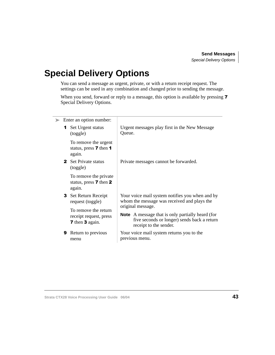# <span id="page-54-0"></span>**Special Delivery Options**

You can send a message as urgent, private, or with a return receipt request. The settings can be used in any combination and changed prior to sending the message.

When you send, forward or reply to a message, this option is available by pressing **7** Special Delivery Options.

|   | Enter an option number:                                                         |                                                                                                                                  |
|---|---------------------------------------------------------------------------------|----------------------------------------------------------------------------------------------------------------------------------|
| 1 | Set Urgent status<br>(toggle)                                                   | Urgent messages play first in the New Message<br>Queue.                                                                          |
|   | To remove the urgent<br>status, press <b>7</b> then <b>1</b><br>again.          |                                                                                                                                  |
|   | <b>2</b> Set Private status<br>(toggle)                                         | Private messages cannot be forwarded.                                                                                            |
|   | To remove the private.<br>status, press 7 then 2<br>again.                      |                                                                                                                                  |
|   | <b>3</b> Set Return Receipt<br>request (toggle)                                 | Your voice mail system notifies you when and by<br>whom the message was received and plays the<br>original message.              |
|   | To remove the return<br>receipt request, press<br><b>7</b> then <b>3</b> again. | <b>Note</b> A message that is only partially heard (for<br>five seconds or longer) sends back a return<br>receipt to the sender. |
| 9 | Return to previous<br>menu                                                      | Your voice mail system returns you to the<br>previous menu.                                                                      |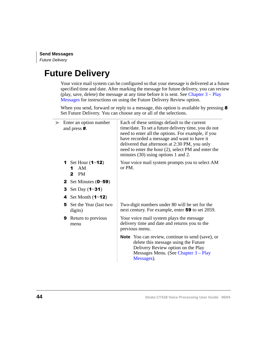# <span id="page-55-0"></span>**Future Delivery**

Your voice mail system can be configured so that your message is delivered at a future specified time and date. After marking the message for future delivery, you can review (play, save, delete) the message at any time before it is sent. See Chapter  $3 -$ Play [Messages](#page-32-1) for instructions on using the Future Delivery Review option.

When you send, forward or reply to a message, this option is available by pressing **8** Set Future Delivery. You can choose any or all of the selections.

| Enter an option number<br>and press #.                    | Each of these settings default to the current<br>time/date. To set a future delivery time, you do not<br>need to enter all the options. For example, if you<br>have recorded a message and want to have it<br>delivered that afternoon at 2:30 PM, you only<br>need to enter the hour (2), select PM and enter the<br>minutes $(30)$ using options 1 and 2. |
|-----------------------------------------------------------|-------------------------------------------------------------------------------------------------------------------------------------------------------------------------------------------------------------------------------------------------------------------------------------------------------------------------------------------------------------|
| <b>1</b> Set Hour $(1 - 12)$<br>AM<br>1<br><b>PM</b><br>2 | Your voice mail system prompts you to select AM<br>or $PM$ .                                                                                                                                                                                                                                                                                                |
| Set Minutes $(0 - 59)$<br>$\mathbf{2}$                    |                                                                                                                                                                                                                                                                                                                                                             |
| Set Day $(1 - 31)$<br>3                                   |                                                                                                                                                                                                                                                                                                                                                             |
| 4<br>Set Month $(1 - 12)$                                 |                                                                                                                                                                                                                                                                                                                                                             |
| 5<br>Set the Year (last two<br>digits)                    | Two-digit numbers under 80 will be set for the<br>next century. For example, enter 59 to set 2059.                                                                                                                                                                                                                                                          |
| Return to previous<br>9<br>menu                           | Your voice mail system plays the message<br>delivery time and date and returns you to the<br>previous menu.                                                                                                                                                                                                                                                 |
|                                                           | <b>Note</b> You can review, continue to send (save), or<br>delete this message using the Future<br>Delivery Review option on the Play<br>Messages Menu. (See Chapter $3 - Play$<br>Messages).                                                                                                                                                               |
|                                                           |                                                                                                                                                                                                                                                                                                                                                             |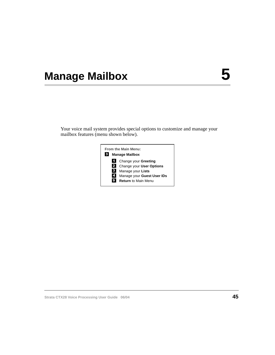Your voice mail system provides special options to customize and manage your mailbox features (menu shown below).

> **From the Main Menu: Manage Mailbox** Change your **Greeting** 2 Change your User Options Manage your **Lists** Manage your **Guest User IDs Return** to Main Menu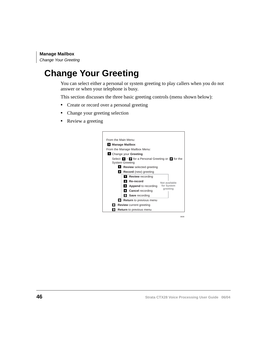# **Change Your Greeting**

You can select either a personal or system greeting to play callers when you do not answer or when your telephone is busy.

This section discusses the three basic greeting controls (menu shown below):

- **•** Create or record over a personal greeting
- Change your greeting selection
- **•** Review a greeting



3608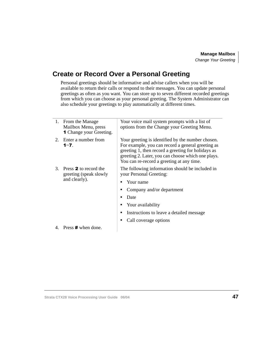#### **Create or Record Over a Personal Greeting**

Personal greetings should be informative and advise callers when you will be available to return their calls or respond to their messages. You can update personal greetings as often as you want. You can store up to seven different recorded greetings from which you can choose as your personal greeting. The System Administrator can also schedule your greetings to play automatically at different times.

<span id="page-58-0"></span>

|    | 1. From the Manage<br>Mailbox Menu, press<br><b>1</b> Change your Greeting. | Your voice mail system prompts with a list of<br>options from the Change your Greeting Menu.                                                                                                                                                                    |
|----|-----------------------------------------------------------------------------|-----------------------------------------------------------------------------------------------------------------------------------------------------------------------------------------------------------------------------------------------------------------|
| 2. | Enter a number from<br>$1 - 7$ .                                            | Your greeting is identified by the number chosen.<br>For example, you can record a general greeting as<br>greeting 1, then record a greeting for holidays as<br>greeting 2. Later, you can choose which one plays.<br>You can re-record a greeting at any time. |
| 3. | Press 2 to record the<br>greeting (speak slowly<br>and clearly).            | The following information should be included in<br>your Personal Greeting:<br>Your name                                                                                                                                                                         |
|    |                                                                             | Company and/or department                                                                                                                                                                                                                                       |
|    |                                                                             | Date                                                                                                                                                                                                                                                            |
|    |                                                                             | Your availability                                                                                                                                                                                                                                               |
|    |                                                                             | Instructions to leave a detailed message.                                                                                                                                                                                                                       |
|    |                                                                             | Call coverage options                                                                                                                                                                                                                                           |
| 4. | Press <b>#</b> when done.                                                   |                                                                                                                                                                                                                                                                 |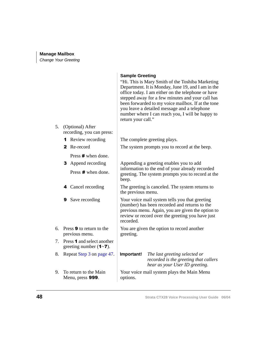| <b>Sample Greeting</b> |                                                  |
|------------------------|--------------------------------------------------|
|                        | "Hi. This is Mary Smith of the Toshiba Marketing |

Department. It is Monday, June 19, and I am in the

|    |                                                           | office today. I am either on the telephone or have<br>stepped away for a few minutes and your call has<br>been forwarded to my voice mailbox. If at the tone<br>you leave a detailed message and a telephone<br>number where I can reach you, I will be happy to<br>return your call." |
|----|-----------------------------------------------------------|----------------------------------------------------------------------------------------------------------------------------------------------------------------------------------------------------------------------------------------------------------------------------------------|
| 5. | (Optional) After<br>recording, you can press:             |                                                                                                                                                                                                                                                                                        |
|    | Review recording<br>1                                     | The complete greeting plays.                                                                                                                                                                                                                                                           |
|    | <b>2</b> Re-record                                        | The system prompts you to record at the beep.                                                                                                                                                                                                                                          |
|    | Press <b>#</b> when done.                                 |                                                                                                                                                                                                                                                                                        |
|    | <b>3</b> Append recording                                 | Appending a greeting enables you to add                                                                                                                                                                                                                                                |
|    | Press # when done.                                        | information to the end of your already recorded<br>greeting. The system prompts you to record at the<br>beep.                                                                                                                                                                          |
|    | 4 Cancel recording                                        | The greeting is canceled. The system returns to<br>the previous menu.                                                                                                                                                                                                                  |
|    | Save recording<br>9                                       | Your voice mail system tells you that greeting<br>(number) has been recorded and returns to the<br>previous menu. Again, you are given the option to<br>review or record over the greeting you have just<br>recorded.                                                                  |
| 6. | Press 9 to return to the<br>previous menu.                | You are given the option to record another<br>greeting.                                                                                                                                                                                                                                |
| 7. | Press 1 and select another<br>greeting number $(1 - 7)$ . |                                                                                                                                                                                                                                                                                        |
| 8. | Repeat Step 3 on page 47.                                 | Important!<br>The last greeting selected or<br>recorded is the greeting that callers<br>hear as your User ID greeting.                                                                                                                                                                 |
| 9. | To return to the Main<br>Menu, press 999.                 | Your voice mail system plays the Main Menu<br>options.                                                                                                                                                                                                                                 |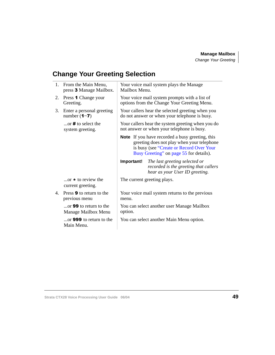### **Change Your Greeting Selection**

| 1. | From the Main Menu,<br>press 3 Manage Mailbox.       | Your voice mail system plays the Manage<br>Mailbox Menu.                                                                                                                                    |
|----|------------------------------------------------------|---------------------------------------------------------------------------------------------------------------------------------------------------------------------------------------------|
| 2. | Press 1 Change your<br>Greeting.                     | Your voice mail system prompts with a list of<br>options from the Change Your Greeting Menu.                                                                                                |
| 3. | Enter a personal greeting<br>number $(1 - 7)$        | Your callers hear the selected greeting when you<br>do not answer or when your telephone is busy.                                                                                           |
|    | or $\#$ to select the<br>system greeting.            | Your callers hear the system greeting when you do<br>not answer or when your telephone is busy.                                                                                             |
|    |                                                      | <b>Note</b> If you have recorded a busy greeting, this<br>greeting does not play when your telephone<br>is busy (see "Create or Record Over Your<br>Busy Greeting" on page 55 for details). |
|    |                                                      | The last greeting selected or<br>Important!<br>recorded is the greeting that callers<br>hear as your User ID greeting.                                                                      |
|    | or $\star$ to review the<br>current greeting.        | The current greeting plays.                                                                                                                                                                 |
| 4. | Press <b>9</b> to return to the<br>previous menu     | Your voice mail system returns to the previous<br>menu.                                                                                                                                     |
|    | or <b>99</b> to return to the<br>Manage Mailbox Menu | You can select another user Manage Mailbox<br>option.                                                                                                                                       |
|    | or <b>999</b> to return to the<br>Main Menu.         | You can select another Main Menu option.                                                                                                                                                    |
|    |                                                      |                                                                                                                                                                                             |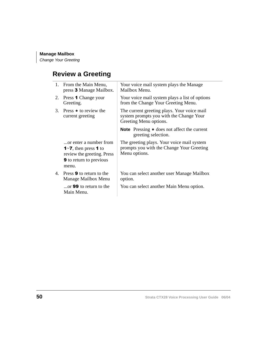### **Review a Greeting**

|             | 1. From the Main Menu,<br>press 3 Manage Mailbox.                                                                                      | Your voice mail system plays the Manage<br>Mailbox Menu.                                                         |
|-------------|----------------------------------------------------------------------------------------------------------------------------------------|------------------------------------------------------------------------------------------------------------------|
| 2.          | Press 1 Change your<br>Greeting.                                                                                                       | Your voice mail system plays a list of options<br>from the Change Your Greeting Menu.                            |
| 3.          | Press $\star$ to review the<br>current greeting                                                                                        | The current greeting plays. Your voice mail<br>system prompts you with the Change Your<br>Greeting Menu options. |
|             |                                                                                                                                        | <b>Note</b> Pressing $*$ does not affect the current<br>greeting selection.                                      |
|             | or enter a number from<br><b>1~7</b> , then press <b>1</b> to<br>review the greeting. Press<br><b>9</b> to return to previous<br>menu. | The greeting plays. Your voice mail system<br>prompts you with the Change Your Greeting<br>Menu options.         |
| $4_{\cdot}$ | Press <b>9</b> to return to the<br>Manage Mailbox Menu                                                                                 | You can select another user Manage Mailbox<br>option.                                                            |
|             | or <b>99</b> to return to the<br>Main Menu.                                                                                            | You can select another Main Menu option.                                                                         |
|             |                                                                                                                                        |                                                                                                                  |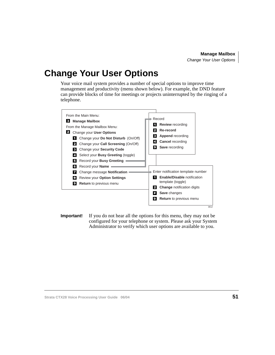### **Change Your User Options**

Your voice mail system provides a number of special options to improve time management and productivity (menu shown below). For example, the DND feature can provide blocks of time for meetings or projects uninterrupted by the ringing of a telephone.



**Important!** If you do not hear all the options for this menu, they may not be configured for your telephone or system. Please ask your System Administrator to verify which user options are available to you.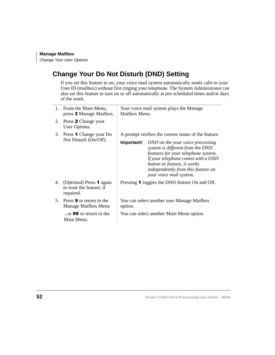### **Change Your Do Not Disturb (DND) Setting**

If you set this feature to on, your voice mail system automatically sends calls to your User ID (mailbox) without first ringing your telephone. The System Administrator can also set this feature to turn on or off automatically at pre-scheduled times and/or days of the week.

|    | 1. From the Main Menu,<br>press <b>3</b> Manage Mailbox.          | Your voice mail system plays the Manage<br>Mailbox Menu.                                                                                                                                                                                                        |
|----|-------------------------------------------------------------------|-----------------------------------------------------------------------------------------------------------------------------------------------------------------------------------------------------------------------------------------------------------------|
| 2. | Press 2 Change your<br>User Options.                              |                                                                                                                                                                                                                                                                 |
|    | 3. Press <b>1</b> Change your Do                                  | A prompt verifies the current status of the feature.                                                                                                                                                                                                            |
|    | Not Disturb (On/Off).                                             | DND on the your voice processing<br>Important!<br>system is different from the DND<br>features for your telephone system.<br>If your telephone comes with a DND<br>button or feature, it works<br>independently from this feature on<br>your voice mail system. |
| 4. | (Optional) Press 1 again<br>to reset the feature, if<br>required. | Pressing 1 toggles the DND feature On and Off.                                                                                                                                                                                                                  |
| 5. | Press <b>9</b> to return to the<br>Manage Mailbox Menu            | You can select another user Manage Mailbox<br>option.                                                                                                                                                                                                           |
|    | or <b>99</b> to return to the<br>Main Menu.                       | You can select another Main Menu option.                                                                                                                                                                                                                        |
|    |                                                                   |                                                                                                                                                                                                                                                                 |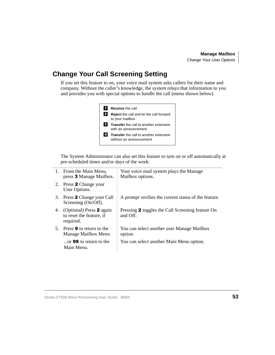#### **Change Your Call Screening Setting**

If you set this feature to on, your voice mail system asks callers for their name and company. Without the caller's knowledge, the system relays that information to you and provides you with special options to handle the call (menu shown below).



The System Administrator can also set this feature to turn on or off automatically at pre-scheduled times and/or days of the week.

| 1. From the Main Menu,<br>press 3 Manage Mailbox.                 | Your voice mail system plays the Manage<br>Mailbox options.  |
|-------------------------------------------------------------------|--------------------------------------------------------------|
| 2. Press <b>2</b> Change your<br>User Options.                    |                                                              |
| Press 2 Change your Call<br>Screening (On/Off).                   | A prompt verifies the current status of the feature.         |
| (Optional) Press 2 again<br>to reset the feature, if<br>required. | Pressing 2 toggles the Call Screening feature On<br>and Off. |
| 5. Press <b>9</b> to return to the<br>Manage Mailbox Menu         | You can select another user Manage Mailbox<br>option.        |
| or <b>99</b> to return to the<br>Main Menu.                       | You can select another Main Menu option.                     |
|                                                                   |                                                              |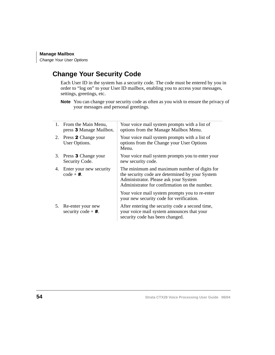### **Change Your Security Code**

Each User ID in the system has a security code. The code must be entered by you in order to "log on" to your User ID mailbox, enabling you to access your messages, settings, greetings, etc.

**Note** You can change your security code as often as you wish to ensure the privacy of your messages and personal greetings.

|    | 1. From the Main Menu,<br>press 3 Manage Mailbox. | Your voice mail system prompts with a list of<br>options from the Manage Mailbox Menu.                                                                                                    |
|----|---------------------------------------------------|-------------------------------------------------------------------------------------------------------------------------------------------------------------------------------------------|
|    | 2. Press <b>2</b> Change your<br>User Options.    | Your voice mail system prompts with a list of<br>options from the Change your User Options<br>Menu.                                                                                       |
| 3. | Press <b>3</b> Change your<br>Security Code.      | Your voice mail system prompts you to enter your<br>new security code.                                                                                                                    |
|    | 4. Enter your new security<br>$code + #.$         | The minimum and maximum number of digits for<br>the security code are determined by your System<br>Administrator. Please ask your System<br>Administrator for confirmation on the number. |
|    |                                                   | Your voice mail system prompts you to re-enter<br>your new security code for verification.                                                                                                |
|    | 5. Re-enter your new<br>security code + $\#$ .    | After entering the security code a second time,<br>your voice mail system announces that your<br>security code has been changed.                                                          |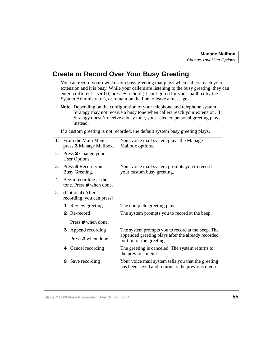#### <span id="page-66-0"></span>**Create or Record Over Your Busy Greeting**

You can record your own custom busy greeting that plays when callers reach your extension and it is busy. While your callers are listening to the busy greeting, they can enter a different User ID, press  $*$  to hold (if configured for your mailbox by the System Administrator), or remain on the line to leave a message.

**Note** Depending on the configuration of your telephone and telephone system, Stratagy may not receive a busy tone when callers reach your extension. If Stratagy doesn't receive a busy tone, your selected personal greeting plays instead.

If a custom greeting is not recorded, the default system busy greeting plays.

| 1. | From the Main Menu,<br>press 3 Manage Mailbox.            | Your voice mail system plays the Manage<br>Mailbox options.                                            |
|----|-----------------------------------------------------------|--------------------------------------------------------------------------------------------------------|
| 2. | Press 2 Change your<br>User Options.                      |                                                                                                        |
| 3. | Press 5 Record your<br>Busy Greeting.                     | Your voice mail system prompts you to record<br>your custom busy greeting.                             |
| 4. | Begin recording at the<br>tone. Press <b>#</b> when done. |                                                                                                        |
| 5. | (Optional) After<br>recording, you can press:             |                                                                                                        |
|    | <b>1</b> Review greeting                                  | The complete greeting plays.                                                                           |
|    | <b>2</b> Re-record                                        | The system prompts you to record at the beep.                                                          |
|    | Press $\#$ when done.                                     |                                                                                                        |
|    | <b>3</b> Append recording                                 | The system prompts you to record at the beep. The                                                      |
|    | Press $\#$ when done.                                     | appended greeting plays after the already recorded<br>portion of the greeting.                         |
|    | 4 Cancel recording                                        | The greeting is canceled. The system returns to<br>the previous menu.                                  |
|    | <b>9</b> Save recording                                   | Your voice mail system tells you that the greeting<br>has been saved and returns to the previous menu. |
|    |                                                           |                                                                                                        |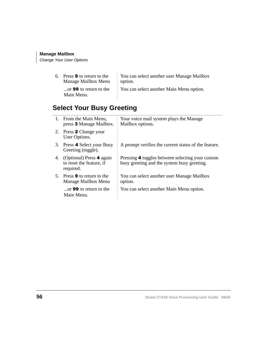| 6. Press <b>9</b> to return to the<br>Manage Mailbox Menu | You can select another user Manage Mailbox<br>option. |
|-----------------------------------------------------------|-------------------------------------------------------|
| or <b>99</b> to return to the<br>Main Menu.               | You can select another Main Menu option.              |

### **Select Your Busy Greeting**

|    | 1. From the Main Menu,<br>press 3 Manage Mailbox.                 | Your voice mail system plays the Manage<br>Mailbox options.                                     |
|----|-------------------------------------------------------------------|-------------------------------------------------------------------------------------------------|
|    | 2. Press <b>2</b> Change your<br>User Options.                    |                                                                                                 |
| 3. | Press 4 Select your Busy<br>Greeting (toggle).                    | A prompt verifies the current status of the feature.                                            |
| 4. | (Optional) Press 4 again<br>to reset the feature, if<br>required. | Pressing 4 toggles between selecting your custom<br>busy greeting and the system busy greeting. |
|    | 5. Press <b>9</b> to return to the<br>Manage Mailbox Menu         | You can select another user Manage Mailbox<br>option.                                           |
|    | or <b>99</b> to return to the<br>Main Menu.                       | You can select another Main Menu option.                                                        |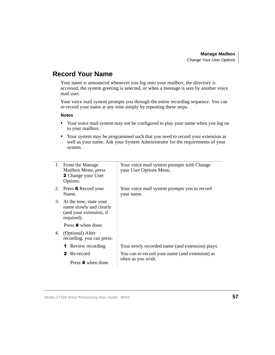### **Record Your Name**

Your name is announced whenever you log onto your mailbox, the directory is accessed, the system greeting is selected, or when a message is sent by another voice mail user.

Your voice mail system prompts you through the entire recording sequence. You can re-record your name at any time simply by repeating these steps.

#### **Notes**

- **•** Your voice mail system may not be configured to play your name when you log on to your mailbox.
- **•** Your system may be programmed such that you need to record your extension as well as your name. Ask your System Administrator for the requirements of your system.

| 1. | From the Manage<br>Mailbox Menu, press<br><b>2</b> Change your User<br>Options.             | Your voice mail system prompts with Change<br>your User Options Menu. |
|----|---------------------------------------------------------------------------------------------|-----------------------------------------------------------------------|
| 2. | Press 6 Record your<br>Name.                                                                | Your voice mail system prompts you to record<br>your name.            |
| 3. | At the tone, state your<br>name slowly and clearly<br>(and your extension, if<br>required). |                                                                       |
|    | Press $\#$ when done.                                                                       |                                                                       |
| 4. | (Optional) After<br>recording, you can press:                                               |                                                                       |
|    | <b>1</b> Review recording                                                                   | Your newly recorded name (and extension) plays.                       |
|    | <b>2</b> Re-record                                                                          | You can re-record your name (and extension) as<br>often as you wish.  |
|    | Press <b>#</b> when done.                                                                   |                                                                       |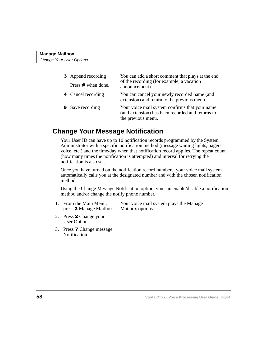| <b>3</b> Append recording<br>Press <b>#</b> when done. | You can add a short comment that plays at the end<br>of the recording (for example, a vacation<br>announcement).         |
|--------------------------------------------------------|--------------------------------------------------------------------------------------------------------------------------|
| 4 Cancel recording                                     | You can cancel your newly recorded name (and<br>extension) and return to the previous menu.                              |
| <b>9</b> Save recording                                | Your voice mail system confirms that your name<br>(and extension) has been recorded and returns to<br>the previous menu. |

#### **Change Your Message Notification**

Your User ID can have up to 10 notification records programmed by the System Administrator with a specific notification method (message waiting lights, pagers, voice, etc.) and the time/day when that notification record applies. The repeat count (how many times the notification is attempted) and interval for retrying the notification is also set.

Once you have turned on the notification record numbers, your voice mail system automatically calls you at the designated number and with the chosen notification method.

Using the Change Message Notification option, you can enable/disable a notification method and/or change the notify phone number.

| 1. From the Main Menu,<br>press <b>3</b> Manage Mailbox. | Your voice mail system plays the Manage<br>Mailbox options. |
|----------------------------------------------------------|-------------------------------------------------------------|
| 2. Press <b>2</b> Change your<br>User Options.           |                                                             |
| 3. Press <b>7</b> Change message<br>Notification.        |                                                             |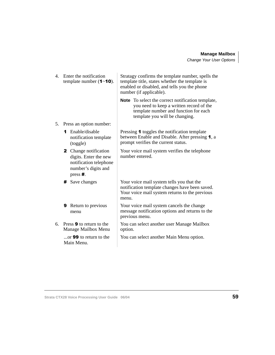| $4_{\cdot}$ | Enter the notification<br>template number $(1 - 10)$ .                                                             | Stratagy confirms the template number, spells the<br>template title, states whether the template is<br>enabled or disabled, and tells you the phone<br>number (if applicable).  |
|-------------|--------------------------------------------------------------------------------------------------------------------|---------------------------------------------------------------------------------------------------------------------------------------------------------------------------------|
|             |                                                                                                                    | <b>Note</b> To select the correct notification template,<br>you need to keep a written record of the<br>template number and function for each<br>template you will be changing. |
| 5.          | Press an option number:                                                                                            |                                                                                                                                                                                 |
|             | Enable/disable<br>1.<br>notification template<br>(toggle)                                                          | Pressing 1 toggles the notification template<br>between Enable and Disable. After pressing 1, a<br>prompt verifies the current status.                                          |
|             | <b>2</b> Change notification<br>digits. Enter the new<br>notification telephone<br>number's digits and<br>press #. | Your voice mail system verifies the telephone<br>number entered.                                                                                                                |
|             | Save changes<br>#                                                                                                  | Your voice mail system tells you that the<br>notification template changes have been saved.<br>Your voice mail system returns to the previous<br>menu.                          |
|             | <b>9</b> Return to previous<br>menu                                                                                | Your voice mail system cancels the change<br>message notification options and returns to the<br>previous menu.                                                                  |
| 6.          | Press <b>9</b> to return to the<br>Manage Mailbox Menu                                                             | You can select another user Manage Mailbox<br>option.                                                                                                                           |
|             | or <b>99</b> to return to the<br>Main Menu.                                                                        | You can select another Main Menu option.                                                                                                                                        |
|             |                                                                                                                    |                                                                                                                                                                                 |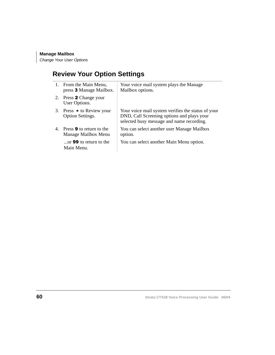### **Review Your Option Settings**

|    | 1. From the Main Menu,<br>press 3 Manage Mailbox.      | Your voice mail system plays the Manage<br>Mailbox options.                                                                                   |
|----|--------------------------------------------------------|-----------------------------------------------------------------------------------------------------------------------------------------------|
|    | 2. Press <b>2</b> Change your<br>User Options.         |                                                                                                                                               |
|    | 3. Press $\star$ to Review your<br>Option Settings.    | Your voice mail system verifies the status of your<br>DND, Call Screening options and plays your<br>selected busy message and name recording. |
| 4. | Press <b>9</b> to return to the<br>Manage Mailbox Menu | You can select another user Manage Mailbox<br>option.                                                                                         |
|    | or <b>99</b> to return to the<br>Main Menu.            | You can select another Main Menu option.                                                                                                      |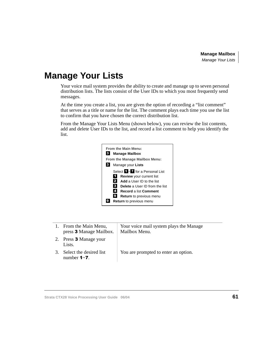# **Manage Your Lists**

<span id="page-72-0"></span>Your voice mail system provides the ability to create and manage up to seven personal distribution lists. The lists consist of the User IDs to which you most frequently send messages.

At the time you create a list, you are given the option of recording a "list comment" that serves as a title or name for the list. The comment plays each time you use the list to confirm that you have chosen the correct distribution list.

From the Manage Your Lists Menu (shown below), you can review the list contents, add and delete User IDs to the list, and record a list comment to help you identify the list.



| 1. | From the Main Menu,<br>press 3 Manage Mailbox. | Your voice mail system plays the Manage<br>Mailbox Menu. |
|----|------------------------------------------------|----------------------------------------------------------|
|    | 2. Press <b>3</b> Manage your<br>Lists.        |                                                          |
|    | 3. Select the desired list<br>number $1 - 7$ . | You are prompted to enter an option.                     |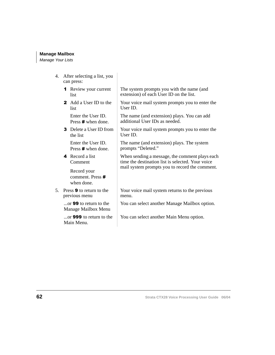#### **Manage Mailbox**

*Manage Your Lists*

| After selecting a list, you<br>4.<br>can press:<br>Review your current<br>1<br>list |                                               |                                                                                                                                                                                                                |
|-------------------------------------------------------------------------------------|-----------------------------------------------|----------------------------------------------------------------------------------------------------------------------------------------------------------------------------------------------------------------|
|                                                                                     |                                               | The system prompts you with the name (and<br>extension) of each User ID on the list.                                                                                                                           |
|                                                                                     | <b>list</b>                                   | Your voice mail system prompts you to enter the<br>User ID.                                                                                                                                                    |
|                                                                                     | Enter the User ID.<br>Press $\#$ when done.   | The name (and extension) plays. You can add<br>additional User IDs as needed.                                                                                                                                  |
| <b>3</b> Delete a User ID from<br>the list                                          |                                               | Your voice mail system prompts you to enter the<br>User $ID$ .                                                                                                                                                 |
|                                                                                     | Enter the User ID.<br>Press $\#$ when done.   | The name (and extension) plays. The system<br>prompts "Deleted."                                                                                                                                               |
|                                                                                     | Comment                                       | When sending a message, the comment plays each<br>time the destination list is selected. Your voice                                                                                                            |
|                                                                                     | Record your<br>comment. Press #<br>when done. | mail system prompts you to record the comment.                                                                                                                                                                 |
|                                                                                     |                                               | Your voice mail system returns to the previous<br>menu.                                                                                                                                                        |
|                                                                                     |                                               | You can select another Manage Mailbox option.                                                                                                                                                                  |
|                                                                                     |                                               | You can select another Main Menu option.                                                                                                                                                                       |
|                                                                                     |                                               | <b>2</b> Add a User ID to the<br>4 Record a list<br>Press <b>9</b> to return to the<br>previous menu<br>$\ldots$ or <b>99</b> to return to the<br>Manage Mailbox Menu<br>or 999 to return to the<br>Main Menu. |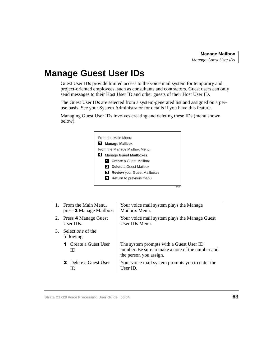# **Manage Guest User IDs**

<span id="page-74-0"></span>Guest User IDs provide limited access to the voice mail system for temporary and project-oriented employees, such as consultants and contractors. Guest users can only send messages to their Host User ID and other guests of their Host User ID.

The Guest User IDs are selected from a system-generated list and assigned on a peruse basis. See your System Administrator for details if you have this feature.

Managing Guest User IDs involves creating and deleting these IDs (menu shown below).

| From the Main Menu:                        |      |  |
|--------------------------------------------|------|--|
| $\vert 3 \vert$<br><b>Manage Mailbox</b>   |      |  |
| From the Manage Mailbox Menu:              |      |  |
| 14<br>Manage Guest Mailboxes               |      |  |
| <b>Create</b> a Guest Mailbox<br>61        |      |  |
| <b>Delete</b> a Guest Mailbox<br>12        |      |  |
| <b>Review your Guest Mailboxes</b><br>13.  |      |  |
| <b>9</b><br><b>Return</b> to previous menu |      |  |
|                                            | 3498 |  |

|    | 1. From the Main Menu,<br>press <b>3</b> Manage Mailbox. | Your voice mail system plays the Manage<br>Mailbox Menu.                                                              |
|----|----------------------------------------------------------|-----------------------------------------------------------------------------------------------------------------------|
|    | 2. Press 4 Manage Guest<br>User IDs.                     | Your voice mail system plays the Manage Guest<br>User IDs Menu.                                                       |
| 3. | Select <i>one</i> of the<br>following:                   |                                                                                                                       |
|    | <b>1</b> Create a Guest User<br>ID                       | The system prompts with a Guest User ID<br>number. Be sure to make a note of the number and<br>the person you assign. |
|    | <b>2</b> Delete a Guest User<br>Ю                        | Your voice mail system prompts you to enter the<br>User ID.                                                           |
|    |                                                          |                                                                                                                       |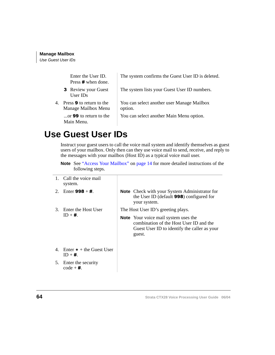|    | Enter the User ID.<br>Press $\#$ when done.            | The system confirms the Guest User ID is deleted.     |
|----|--------------------------------------------------------|-------------------------------------------------------|
|    | <b>3</b> Review your Guest<br>User IDs                 | The system lists your Guest User ID numbers.          |
| 4. | Press <b>9</b> to return to the<br>Manage Mailbox Menu | You can select another user Manage Mailbox<br>option. |
|    | or <b>99</b> to return to the<br>Main Menu.            | You can select another Main Menu option.              |
|    |                                                        |                                                       |

# **Use Guest User IDs**

<span id="page-75-0"></span>Instruct your guest users to call the voice mail system and identify themselves as guest users of your mailbox. Only then can they use voice mail to send, receive, and reply to the messages with your mailbox (Host ID) as a typical voice mail user.

**Note** [See "Access Your Mailbox" on page 14](#page-25-0) for more detailed instructions of the following steps.

|             | 1. Call the voice mail<br>system.            |                                    |                                                                                                                                                  |  |
|-------------|----------------------------------------------|------------------------------------|--------------------------------------------------------------------------------------------------------------------------------------------------|--|
| $2^{\circ}$ | Enter <b>998</b> + #.                        |                                    | <b>Note</b> Check with your System Administrator for<br>the User ID (default <b>998</b> ) configured for<br>your system.                         |  |
| 3.          | Enter the Host User                          | The Host User ID's greeting plays. |                                                                                                                                                  |  |
|             | $ID + H$ .                                   |                                    | <b>Note</b> Your voice mail system uses the<br>combination of the Host User ID and the<br>Guest User ID to identify the caller as your<br>guest. |  |
| 4.          | Enter $\star$ + the Guest User<br>$ID + H$ . |                                    |                                                                                                                                                  |  |
|             | 5. Enter the security<br>$code + #$          |                                    |                                                                                                                                                  |  |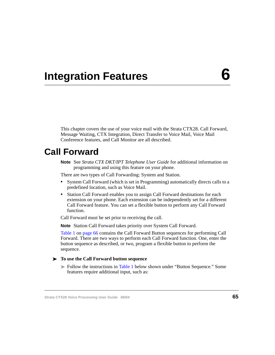This chapter covers the use of your voice mail with the Strata CTX28. Call Forward, Message Waiting, CTX Integration, Direct Transfer to Voice Mail, Voice Mail Conference features, and Call Monitor are all described.

# <span id="page-76-0"></span>**Call Forward**

**Note** See *Strata CTX DKT/IPT Telephone User Guide* for additional information on programming and using this feature on your phone.

There are two types of Call Forwarding: System and Station.

- **•** System Call Forward (which is set in Programming) automatically directs calls to a predefined location, such as Voice Mail.
- **•** Station Call Forward enables you to assign Call Forward destinations for each extension on your phone. Each extension can be independently set for a different Call Forward feature. You can set a flexible button to perform any Call Forward function.

Call Forward must be set prior to receiving the call.

**Note** Station Call Forward takes priority over System Call Forward.

[Table 1 on page 66](#page-77-0) contains the Call Forward Button sequences for performing Call Forward. There are two ways to perform each Call Forward function. One, enter the button sequence as described, or two, program a flexible button to perform the sequence.

#### **To use the Call Forward button sequence**

 Follow the instructions in [Table 1](#page-77-0) below shown under "Button Sequence." Some features require additional input, such as: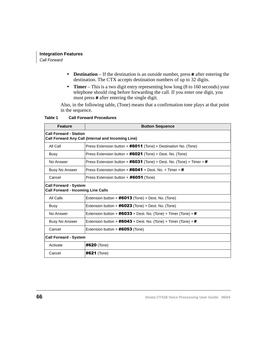- **Destination** If the destination is an outside number, press **#** after entering the destination. The CTX accepts destination numbers of up to 32 digits.
- **Timer** This is a two digit entry representing how long (8 to 160 seconds) your telephone should ring before forwarding the call. If you enter one digit, you must press  $\#$  after entering the single digit.

Also, in the following table, (Tone) means that a confirmation tone plays at that point in the sequence.

| <b>Feature</b>                                                            | <b>Button Sequence</b>                                               |  |  |  |  |
|---------------------------------------------------------------------------|----------------------------------------------------------------------|--|--|--|--|
| <b>Call Forward - Station</b>                                             | <b>Call Forward Any Call (Internal and Incoming Line)</b>            |  |  |  |  |
| All Call                                                                  | Press Extension button + #6011 (Tone) + Destination No. (Tone)       |  |  |  |  |
| Busy                                                                      | Press Extension button + #6021 (Tone) + Dest. No. (Tone)             |  |  |  |  |
| No Answer                                                                 | Press Extension button + #6031 (Tone) + Dest. No. (Tone) + Timer + # |  |  |  |  |
| Busy No Answer                                                            | Press Extension button + $\#6041$ + Dest. No. + Timer + #            |  |  |  |  |
| Cancel                                                                    | Press Extension button + #6051 (Tone)                                |  |  |  |  |
| <b>Call Forward - System</b><br><b>Call Forward - Incoming Line Calls</b> |                                                                      |  |  |  |  |
| All Calls                                                                 | Extension button $+$ #6013 (Tone) + Dest. No. (Tone)                 |  |  |  |  |
| Busy                                                                      | Extension button + $\#6023$ (Tone) + Dest. No. (Tone)                |  |  |  |  |
| No Answer                                                                 | Extension button + $\#6033$ + Dest. No. (Tone) + Timer (Tone) + #    |  |  |  |  |
| <b>Busy No Answer</b>                                                     | Extension button + $\#6043$ + Dest. No. (Tone) + Timer (Tone) + #    |  |  |  |  |
| Cancel<br>Extension button + #6053 (Tone)                                 |                                                                      |  |  |  |  |
| <b>Call Forward - System</b>                                              |                                                                      |  |  |  |  |
| Activate                                                                  | #620 (Tone)                                                          |  |  |  |  |
| Cancel                                                                    | #621 (Tone)                                                          |  |  |  |  |

#### <span id="page-77-0"></span>**Table 1 Call Forward Procedures**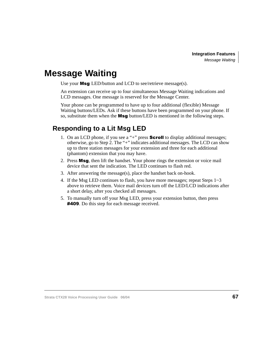# <span id="page-78-0"></span>**Message Waiting**

Use your  $Msg$  LED/button and LCD to see/retrieve message(s).

An extension can receive up to four simultaneous Message Waiting indications and LCD messages. One message is reserved for the Message Center.

Your phone can be programmed to have up to four additional (flexible) Message Waiting buttons/LEDs. Ask if these buttons have been programmed on your phone. If so, substitute them when the **Msg** button/LED is mentioned in the following steps.

## **Responding to a Lit Msg LED**

- <span id="page-78-1"></span>1. On an LCD phone, if you see a "+" press **Scroll** to display additional messages; otherwise, go to Step 2. The "+" indicates additional messages. The LCD can show up to three station messages for your extension and three for each additional (phantom) extension that you may have.
- 2. Press  $Msg$ , then lift the handset. Your phone rings the extension or voice mail device that sent the indication. The LED continues to flash red.
- 3. After answering the message(s), place the handset back on-hook.
- 4. If the Msg LED continues to flash, you have more messages; repeat Steps 1~3 above to retrieve them. Voice mail devices turn off the LED/LCD indications after a short delay, after you checked all messages.
- 5. To manually turn off your Msg LED, press your extension button, then press **#409**. Do this step for each message received.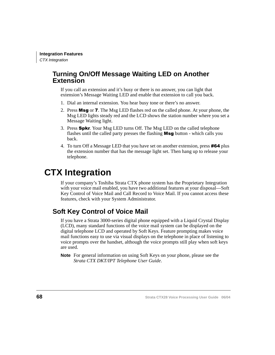## <span id="page-79-1"></span>**Turning On/Off Message Waiting LED on Another Extension**

If you call an extension and it's busy or there is no answer, you can light that extension's Message Waiting LED and enable that extension to call you back.

- 1. Dial an internal extension. You hear busy tone or there's no answer.
- 2. Press Msg or 7. The Msg LED flashes red on the called phone. At your phone, the Msg LED lights steady red and the LCD shows the station number where you set a Message Waiting light.
- 3. Press Spkr. Your Msg LED turns Off. The Msg LED on the called telephone flashes until the called party presses the flashing  $Msg$  button - which calls you back.
- 4. To turn Off a Message LED that you have set on another extension, press  $\#64$  plus the extension number that has the message light set. Then hang up to release your telephone.

# <span id="page-79-0"></span>**CTX Integration**

If your company's Toshiba Strata CTX phone system has the Proprietary Integration with your voice mail enabled, you have two additional features at your disposal—Soft Key Control of Voice Mail and Call Record to Voice Mail. If you cannot access these features, check with your System Administrator.

## **Soft Key Control of Voice Mail**

<span id="page-79-2"></span>If you have a Strata 3000-series digital phone equipped with a Liquid Crystal Display (LCD), many standard functions of the voice mail system can be displayed on the digital telephone LCD and operated by Soft Keys. Feature prompting makes voice mail functions easy to use via visual displays on the telephone in place of listening to voice prompts over the handset, although the voice prompts still play when soft keys are used.

**Note** For general information on using Soft Keys on your phone, please see the *Strata CTX DKT/IPT Telephone User Guide*.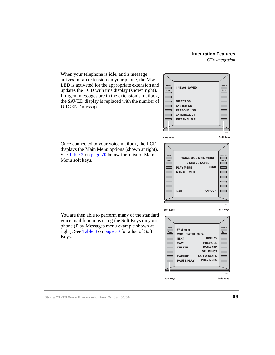When your telephone is idle, and a message arrives for an extension on your phone, the Msg LED is activated for the appropriate extension and updates the LCD with this display (shown right). If urgent messages are in the extension's mailbox, the SAVED display is replaced with the number of URGENT messages.

Once connected to your voice mailbox, the LCD displays the Main Menu options (shown at right). See [Table 2 on page 70](#page-81-0) below for a list of Main Menu soft keys.

You are then able to perform many of the standard voice mail functions using the Soft Keys on your phone (Play Messages menu example shown at right). See [Table 3 on page 70](#page-81-1) for a list of Soft Keys.

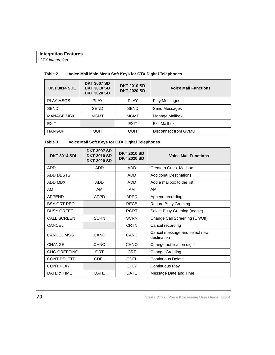*CTX Integration*

#### <span id="page-81-0"></span>**Table 2 Voice Mail Main Menu Soft Keys for CTX Digital Telephones**

| <b>DKT 3014 SDL</b> | <b>DKT 3007 SD</b><br><b>DKT 3010 SD</b><br><b>DKT 3020 SD</b> | <b>DKT 2010 SD</b><br><b>DKT 2020 SD</b> | <b>Voice Mail Functions</b> |
|---------------------|----------------------------------------------------------------|------------------------------------------|-----------------------------|
| <b>PLAY MSGS</b>    | <b>PLAY</b>                                                    | <b>PLAY</b>                              | Play Messages               |
| <b>SEND</b>         | <b>SEND</b>                                                    | <b>SEND</b>                              | Send Messages               |
| MANAGE MBX          | <b>MGMT</b>                                                    | <b>MGMT</b>                              | Manage Mailbox              |
| <b>EXIT</b>         |                                                                | <b>EXIT</b>                              | Exit Mailbox                |
| <b>HANGUP</b>       | QUIT                                                           | QUIT                                     | Disconnect from GVMU        |

#### <span id="page-81-1"></span>**Table 3 Voice Mail Soft Keys for CTX Digital Telephones**

| <b>DKT 3014 SDL</b> | <b>DKT 3007 SD</b><br><b>DKT 3010 SD</b><br><b>DKT 3020 SD</b> | <b>DKT 2010 SD</b><br><b>DKT 2020 SD</b> | <b>Voice Mail Functions</b>                  |
|---------------------|----------------------------------------------------------------|------------------------------------------|----------------------------------------------|
| ADD                 | <b>ADD</b>                                                     | ADD                                      | Create a Guest Mailbox                       |
| ADD DESTS           |                                                                | <b>ADD</b>                               | <b>Additional Destinations</b>               |
| ADD MBX             | <b>ADD</b>                                                     | <b>ADD</b>                               | Add a mailbox to the list                    |
| AM                  | AM                                                             | AM                                       | AM                                           |
| <b>APPEND</b>       | <b>APPD</b>                                                    | <b>APPD</b>                              | Append recording                             |
| <b>BSY GRT REC</b>  |                                                                | <b>RECB</b>                              | <b>Record Busy Greeting</b>                  |
| <b>BUSY GREET</b>   |                                                                | <b>RGRT</b>                              | Select Busy Greeting (toggle)                |
| <b>CALL SCREEN</b>  | <b>SCRN</b>                                                    | <b>SCRN</b>                              | Change Call Screening (On/Off)               |
| CANCEL              |                                                                | <b>CRTN</b>                              | Cancel recording                             |
| <b>CANCEL MSG</b>   | <b>CANC</b>                                                    | <b>CANC</b>                              | Cancel message and select new<br>destination |
| <b>CHANGE</b>       | <b>CHNO</b>                                                    | <b>CHNO</b>                              | Change notification digits                   |
| <b>CHG GREETING</b> | <b>GRT</b>                                                     | <b>GRT</b>                               | <b>Change Greeting</b>                       |
| <b>CONT DELETE</b>  | <b>CDEL</b>                                                    | <b>CDEL</b>                              | <b>Continuous Delete</b>                     |
| <b>CONT PLAY</b>    |                                                                | <b>CPLY</b>                              | Continuous Play                              |
| DATE & TIME         | <b>DATE</b>                                                    | <b>DATE</b>                              | Message Date and Time                        |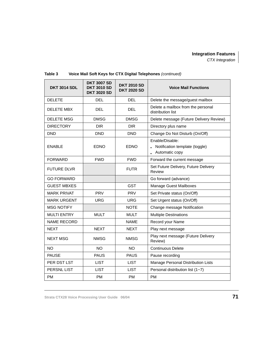*CTX Integration*

#### **Table 3 Voice Mail Soft Keys for CTX Digital Telephones** *(continued)*

| <b>DKT 3014 SDL</b> | <b>DKT 3007 SD</b><br><b>DKT 3010 SD</b><br><b>DKT 3020 SD</b> | <b>DKT 2010 SD</b><br><b>DKT 2020 SD</b> | <b>Voice Mail Functions</b>                                         |
|---------------------|----------------------------------------------------------------|------------------------------------------|---------------------------------------------------------------------|
| <b>DELETE</b>       | DEL                                                            | <b>DEL</b>                               | Delete the message/guest mailbox                                    |
| <b>DELETE MBX</b>   | DEL                                                            | DEL                                      | Delete a mailbox from the personal<br>distribution list             |
| <b>DELETE MSG</b>   | <b>DMSG</b>                                                    | <b>DMSG</b>                              | Delete message (Future Delivery Review)                             |
| <b>DIRECTORY</b>    | <b>DIR</b>                                                     | <b>DIR</b>                               | Directory plus name                                                 |
| DND                 | <b>DND</b>                                                     | <b>DND</b>                               | Change Do Not Disturb (On/Off)                                      |
| <b>ENABLE</b>       | <b>EDNO</b>                                                    | <b>EDNO</b>                              | Enable/Disable:<br>Notification template (toggle)<br>Automatic copy |
| <b>FORWARD</b>      | <b>FWD</b>                                                     | <b>FWD</b>                               | Forward the current message                                         |
| <b>FUTURE DLVR</b>  |                                                                | <b>FUTR</b>                              | Set Future Delivery, Future Delivery<br>Review                      |
| <b>GO FORWARD</b>   |                                                                |                                          | Go forward (advance)                                                |
| <b>GUEST MBXES</b>  |                                                                | <b>GST</b>                               | <b>Manage Guest Mailboxes</b>                                       |
| <b>MARK PRIVAT</b>  | <b>PRV</b>                                                     | <b>PRV</b>                               | Set Private status (On/Off)                                         |
| <b>MARK URGENT</b>  | URG                                                            | URG                                      | Set Urgent status (On/Off)                                          |
| <b>MSG NOTIFY</b>   |                                                                | <b>NOTE</b>                              | Change message Notification                                         |
| <b>MULTI ENTRY</b>  | <b>MULT</b>                                                    | <b>MULT</b>                              | <b>Multiple Destinations</b>                                        |
| <b>NAME RECORD</b>  |                                                                | <b>NAME</b>                              | Record your Name                                                    |
| <b>NEXT</b>         | <b>NEXT</b>                                                    | <b>NEXT</b>                              | Play next message                                                   |
| <b>NEXT MSG</b>     | NMSG                                                           | <b>NMSG</b>                              | Play next message (Future Delivery<br>Review)                       |
| NO.                 | <b>NO</b>                                                      | <b>NO</b>                                | <b>Continuous Delete</b>                                            |
| <b>PAUSE</b>        | <b>PAUS</b>                                                    | <b>PAUS</b>                              | Pause recording                                                     |
| PER DST LST         | <b>LIST</b>                                                    | <b>LIST</b>                              | Manage Personal Distribution Lists                                  |
| PERSNL LIST         | <b>LIST</b>                                                    | <b>LIST</b>                              | Personal distribution list (1~7)                                    |
| PM                  | <b>PM</b>                                                      | <b>PM</b>                                | <b>PM</b>                                                           |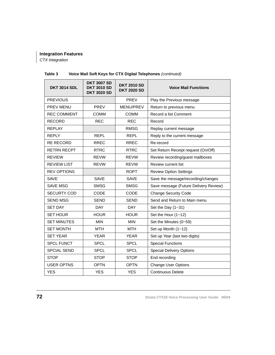*CTX Integration*

#### **Table 3 Voice Mail Soft Keys for CTX Digital Telephones** *(continued)*

| <b>DKT 3014 SDL</b> | <b>DKT 3007 SD</b><br><b>DKT 3010 SD</b><br><b>DKT 3020 SD</b> | <b>DKT 2010 SD</b><br><b>DKT 2020 SD</b> | <b>Voice Mail Functions</b>           |
|---------------------|----------------------------------------------------------------|------------------------------------------|---------------------------------------|
| <b>PREVIOUS</b>     |                                                                | <b>PREV</b>                              | Play the Previous message             |
| <b>PREV MENU</b>    | PREV                                                           | MENU/PREV                                | Return to previous menu               |
| <b>REC COMMENT</b>  | <b>COMM</b>                                                    | <b>COMM</b>                              | Record a list Comment                 |
| <b>RECORD</b>       | <b>REC</b>                                                     | <b>REC</b>                               | Record                                |
| <b>REPLAY</b>       |                                                                | <b>RMSG</b>                              | Replay current message                |
| <b>REPLY</b>        | <b>REPL</b>                                                    | <b>REPL</b>                              | Reply to the current message          |
| <b>RE RECORD</b>    | <b>RREC</b>                                                    | <b>RREC</b>                              | Re-record                             |
| <b>RETRN RECPT</b>  | <b>RTRC</b>                                                    | <b>RTRC</b>                              | Set Return Receipt request (On/Off)   |
| <b>REVIEW</b>       | <b>REVW</b>                                                    | <b>REVW</b>                              | Review recording/guest mailboxes      |
| <b>REVIEW LIST</b>  | <b>REVW</b>                                                    | <b>REVW</b>                              | Review current list                   |
| <b>REV OPTIONS</b>  |                                                                | <b>ROPT</b>                              | <b>Review Option Settings</b>         |
| <b>SAVE</b>         | <b>SAVE</b>                                                    | <b>SAVE</b>                              | Save the message/recording/changes    |
| <b>SAVE MSG</b>     | <b>SMSG</b>                                                    | <b>SMSG</b>                              | Save message (Future Delivery Review) |
| <b>SECURTY COD</b>  | CODE                                                           | CODE                                     | <b>Change Security Code</b>           |
| <b>SEND MSG</b>     | <b>SEND</b>                                                    | <b>SEND</b>                              | Send and Return to Main menu          |
| <b>SET DAY</b>      | <b>DAY</b>                                                     | <b>DAY</b>                               | Set the Day $(1-31)$                  |
| <b>SET HOUR</b>     | <b>HOUR</b>                                                    | <b>HOUR</b>                              | Set the Hour (1~12)                   |
| <b>SET MINUTES</b>  | <b>MIN</b>                                                     | <b>MIN</b>                               | Set the Minutes (0~59)                |
| <b>SET MONTH</b>    | <b>MTH</b>                                                     | <b>MTH</b>                               | Set up Month $(1-12)$                 |
| <b>SET YEAR</b>     | <b>YEAR</b>                                                    | <b>YEAR</b>                              | Set up Year (last two digits)         |
| <b>SPCL FUNCT</b>   | <b>SPCL</b>                                                    | <b>SPCL</b>                              | <b>Special Functions</b>              |
| <b>SPCIAL SEND</b>  | <b>SPCL</b>                                                    | <b>SPCL</b>                              | Special Delivery Options              |
| <b>STOP</b>         | <b>STOP</b>                                                    | <b>STOP</b>                              | End recording                         |
| <b>USER OPTNS</b>   | <b>OPTN</b>                                                    | <b>OPTN</b>                              | <b>Change User Options</b>            |
| <b>YES</b>          | <b>YES</b>                                                     | <b>YES</b>                               | <b>Continuous Delete</b>              |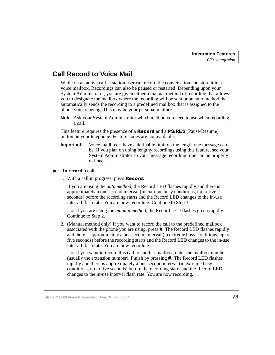## **Call Record to Voice Mail**

<span id="page-84-0"></span>While on an active call, a station user can record the conversation and store it in a voice mailbox. Recordings can also be paused or restarted. Depending upon your System Administrator, you are given either a manual method of recording that allows you to designate the mailbox where the recording will be sent or an auto method that automatically sends the recording to a predefined mailbox that is assigned to the phone you are using. This may be your personal mailbox.

**Note** Ask your System Administrator which method you need to use when recording a call.

This feature requires the presence of a **Record** and a **PS/RES** (Pause/Resume) button on your telephone. Feature codes are not available.

**Important!** Voice mailboxes have a definable limit on the length one message can be. If you plan on doing lengthy recordings using this feature, see your System Administrator so your message recording time can be properly defined.

#### **To record a call**

1. With a call in progress, press **Record**.

If you are using the *auto method*, the Record LED flashes rapidly and there is approximately a one second interval (in extreme busy conditions, up to five seconds) before the recording starts and the Record LED changes to the in-use interval flash rate. You are now recording. Continue to Step 3.

...or if you are using the *manual method*, the Record LED flashes green rapidly. Continue to Step 2.

2. (Manual method only) If you want to record the call to the predefined mailbox associated with the phone you are using, press  $\#$ . The Record LED flashes rapidly and there is approximately a one second interval (in extreme busy conditions, up to five seconds) before the recording starts and the Record LED changes to the in-use interval flash rate. You are now recording.

...or if you want to record this call to another mailbox, enter the mailbox number (usually the extension number). Finish by pressing  $\#$ . The Record LED flashes rapidly and there is approximately a one second interval (in extreme busy conditions, up to five seconds) before the recording starts and the Record LED changes to the in-use interval flash rate. You are now recording.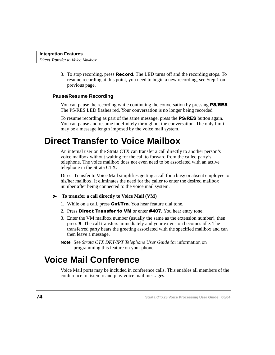3. To stop recording, press **Record**. The LED turns off and the recording stops. To resume recording at this point, you need to begin a new recording, see Step 1 on previous page.

#### **Pause/Resume Recording**

You can pause the recording while continuing the conversation by pressing **PS/RES**. The PS/RES LED flashes red. Your conversation is no longer being recorded.

<span id="page-85-0"></span>To resume recording as part of the same message, press the **PS/RES** button again. You can pause and resume indefinitely throughout the conversation. The only limit may be a message length imposed by the voice mail system.

# **Direct Transfer to Voice Mailbox**

An internal user on the Strata CTX can transfer a call directly to another person's voice mailbox without waiting for the call to forward from the called party's telephone. The voice mailbox does not even need to be associated with an active telephone in the Strata CTX.

Direct Transfer to Voice Mail simplifies getting a call for a busy or absent employee to his/her mailbox. It eliminates the need for the caller to enter the desired mailbox number after being connected to the voice mail system.

#### **To transfer a call directly to Voice Mail (VM)**

- 1. While on a call, press **Cnf/Trn**. You hear feature dial tone.
- 2. Press Direct Transfer to VM or enter #407. You hear entry tone.
- 3. Enter the VM mailbox number (usually the same as the extension number), then press **#**. The call transfers immediately and your extension becomes idle. The transferred party hears the greeting associated with the specified mailbox and can then leave a message.

<span id="page-85-1"></span>**Note** See *Strata CTX DKT/IPT Telephone User Guide* for information on programming this feature on your phone.

# **Voice Mail Conference**

Voice Mail ports may be included in conference calls. This enables all members of the conference to listen to and play voice mail messages.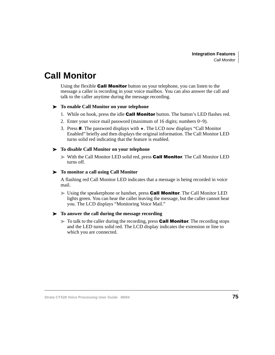# **Call Monitor**

<span id="page-86-0"></span>Using the flexible **Call Monitor** button on your telephone, you can listen to the message a caller is recording in your voice mailbox. You can also answer the call and talk to the caller anytime during the message recording.

#### **To enable Call Monitor on your telephone**

- 1. While on hook, press the idle **Call Monitor** button. The button's LED flashes red.
- 2. Enter your voice mail password (maximum of 16 digits; numbers 0~9).
- 3. Press  $\#$ . The password displays with  $\star$ . The LCD now displays "Call Monitor" Enabled" briefly and then displays the original information. The Call Monitor LED turns solid red indicating that the feature is enabled.

#### **To disable Call Monitor on your telephone**

With the Call Monitor LED solid red, press **Call Monitor**. The Call Monitor LED turns off.

#### **To monitor a call using Call Monitor**

A flashing red Call Monitor LED indicates that a message is being recorded in voice mail.

Using the speakerphone or handset, press **Call Monitor**. The Call Monitor LED lights green. You can hear the caller leaving the message, but the caller cannot hear you. The LCD displays "Monitoring Voice Mail."

#### **To answer the call during the message recording**

 $\triangleright$  To talk to the caller during the recording, press **Call Monitor**. The recording stops and the LED turns solid red. The LCD display indicates the extension or line to which you are connected.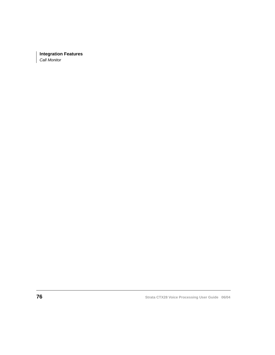*Call Monitor*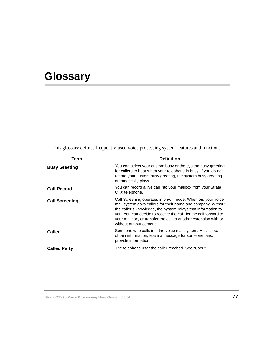# **Glossary**

This glossary defines frequently-used voice processing system features and functions.

| Term                  | <b>Definition</b>                                                                                                                                                                                                                                                                                                                                            |
|-----------------------|--------------------------------------------------------------------------------------------------------------------------------------------------------------------------------------------------------------------------------------------------------------------------------------------------------------------------------------------------------------|
| <b>Busy Greeting</b>  | You can select your custom busy or the system busy greeting<br>for callers to hear when your telephone is busy. If you do not<br>record your custom busy greeting, the system busy greeting<br>automatically plays.                                                                                                                                          |
| <b>Call Record</b>    | You can record a live call into your mailbox from your Strata<br>CTX telephone.                                                                                                                                                                                                                                                                              |
| <b>Call Screening</b> | Call Screening operates in on/off mode. When on, your voice<br>mail system asks callers for their name and company. Without<br>the caller's knowledge, the system relays that information to<br>you. You can decide to receive the call, let the call forward to<br>your mailbox, or transfer the call to another extension with or<br>without announcement. |
| Caller                | Someone who calls into the voice mail system. A caller can<br>obtain information, leave a message for someone, and/or<br>provide information.                                                                                                                                                                                                                |
| <b>Called Party</b>   | The telephone user the caller reached. See "User."                                                                                                                                                                                                                                                                                                           |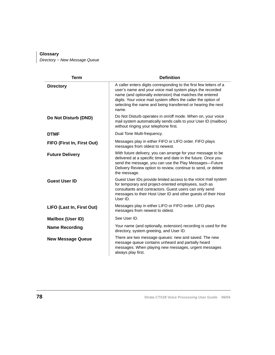#### **Glossary**

*Directory ~ New Message Queue*

| <b>Term</b>                | <b>Definition</b>                                                                                                                                                                                                                                                                                                                      |
|----------------------------|----------------------------------------------------------------------------------------------------------------------------------------------------------------------------------------------------------------------------------------------------------------------------------------------------------------------------------------|
| <b>Directory</b>           | A caller enters digits corresponding to the first few letters of a<br>user's name and your voice mail system plays the recorded<br>name (and optionally extension) that matches the entered<br>digits. Your voice mail system offers the caller the option of<br>selecting the name and being transferred or hearing the next<br>name. |
| Do Not Disturb (DND)       | Do Not Disturb operates in on/off mode. When on, your voice<br>mail system automatically sends calls to your User ID (mailbox)<br>without ringing your telephone first.                                                                                                                                                                |
| <b>DTMF</b>                | Dual Tone Multi-frequency.                                                                                                                                                                                                                                                                                                             |
| FIFO (First In, First Out) | Messages play in either FIFO or LIFO order. FIFO plays<br>messages from oldest to newest.                                                                                                                                                                                                                                              |
| <b>Future Delivery</b>     | With future delivery, you can arrange for your message to be<br>delivered at a specific time and date in the future. Once you<br>send the message, you can use the Play Messages-Future<br>Delivery Review option to review, continue to send, or delete<br>the message.                                                               |
| <b>Guest User ID</b>       | Guest User IDs provide limited access to the voice mail system<br>for temporary and project-oriented employees, such as<br>consultants and contractors. Guest users can only send<br>messages to their Host User ID and other guests of their Host<br>User ID.                                                                         |
| LIFO (Last In, First Out)  | Messages play in either LIFO or FIFO order. LIFO plays<br>messages from newest to oldest.                                                                                                                                                                                                                                              |
| Mailbox (User ID)          | See User ID.                                                                                                                                                                                                                                                                                                                           |
| <b>Name Recording</b>      | Your name (and optionally, extension) recording is used for the<br>directory, system greeting, and User ID.                                                                                                                                                                                                                            |
| <b>New Message Queue</b>   | There are two message queues: new and saved. The new<br>message queue contains unheard and partially heard<br>messages. When playing new messages, urgent messages<br>always play first.                                                                                                                                               |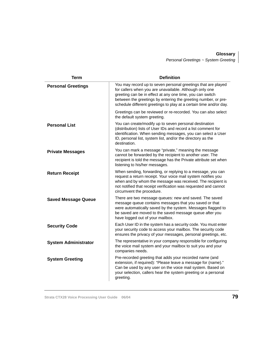| <b>Term</b>                 | <b>Definition</b>                                                                                                                                                                                                                                                                                                             |
|-----------------------------|-------------------------------------------------------------------------------------------------------------------------------------------------------------------------------------------------------------------------------------------------------------------------------------------------------------------------------|
| <b>Personal Greetings</b>   | You may record up to seven personal greetings that are played<br>for callers when you are unavailable. Although only one<br>greeting can be in effect at any one time, you can switch<br>between the greetings by entering the greeting number, or pre-<br>schedule different greetings to play at a certain time and/or day. |
|                             | Greetings can be reviewed or re-recorded. You can also select<br>the default system greeting.                                                                                                                                                                                                                                 |
| <b>Personal List</b>        | You can create/modify up to seven personal destination<br>(distribution) lists of User IDs and record a list comment for<br>identification. When sending messages, you can select a User<br>ID, personal list, system list, and/or the directory as the<br>destination.                                                       |
| <b>Private Messages</b>     | You can mark a message "private," meaning the message<br>cannot be forwarded by the recipient to another user. The<br>recipient is told the message has the Private attribute set when<br>listening to his/her messages.                                                                                                      |
| <b>Return Receipt</b>       | When sending, forwarding, or replying to a message, you can<br>request a return receipt. Your voice mail system notifies you<br>when and by whom the message was received. The recipient is<br>not notified that receipt verification was requested and cannot<br>circumvent the procedure.                                   |
| <b>Saved Message Queue</b>  | There are two message queues: new and saved. The saved<br>message queue contains messages that you saved or that<br>were automatically saved by the system. Messages flagged to<br>be saved are moved to the saved message queue after you<br>have logged out of your mailbox.                                                |
| <b>Security Code</b>        | Each User ID in the system has a security code. You must enter<br>your security code to access your mailbox. The security code<br>ensures the privacy of your messages, personal greetings, etc.                                                                                                                              |
| <b>System Administrator</b> | The representative in your company responsible for configuring<br>the voice mail system and your mailbox to suit you and your<br>companies needs.                                                                                                                                                                             |
| <b>System Greeting</b>      | Pre-recorded greeting that adds your recorded name (and<br>extension, if required): "Please leave a message for (name)."<br>Can be used by any user on the voice mail system. Based on<br>your selection, callers hear the system greeting or a personal<br>greeting.                                                         |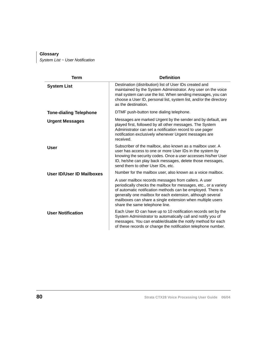#### **Glossary**

*System List ~ User Notification*

| Term                          | <b>Definition</b>                                                                                                                                                                                                                                                                                                                                     |
|-------------------------------|-------------------------------------------------------------------------------------------------------------------------------------------------------------------------------------------------------------------------------------------------------------------------------------------------------------------------------------------------------|
| <b>System List</b>            | Destination (distribution) list of User IDs created and<br>maintained by the System Administrator. Any user on the voice<br>mail system can use the list. When sending messages, you can<br>choose a User ID, personal list, system list, and/or the directory<br>as the destination.                                                                 |
| <b>Tone-dialing Telephone</b> | DTMF push-button tone dialing telephone.                                                                                                                                                                                                                                                                                                              |
| <b>Urgent Messages</b>        | Messages are marked Urgent by the sender and by default, are<br>played first, followed by all other messages. The System<br>Administrator can set a notification record to use pager<br>notification exclusively whenever Urgent messages are<br>received.                                                                                            |
| User                          | Subscriber of the mailbox, also known as a mailbox user. A<br>user has access to one or more User IDs in the system by<br>knowing the security codes. Once a user accesses his/her User<br>ID, he/she can play back messages, delete those messages,<br>send them to other User IDs, etc.                                                             |
| User ID/User ID Mailboxes     | Number for the mailbox user, also known as a voice mailbox.                                                                                                                                                                                                                                                                                           |
|                               | A user mailbox records messages from callers. A user<br>periodically checks the mailbox for messages, etc., or a variety<br>of automatic notification methods can be employed. There is<br>generally one mailbox for each extension, although several<br>mailboxes can share a single extension when multiple users<br>share the same telephone line. |
| <b>User Notification</b>      | Each User ID can have up to 10 notification records set by the<br>System Administrator to automatically call and notify you of<br>messages. You can enable/disable the notify method for each<br>of these records or change the notification telephone number.                                                                                        |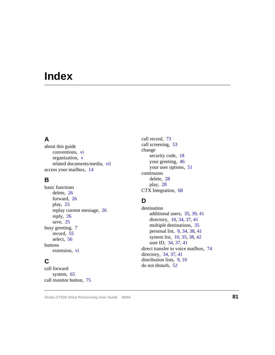# **Index**

## **A**

about this guide conventions, [vi](#page-9-0) organization, [v](#page-8-0) related documents/media, [vii](#page-10-0) access your mailbox, [14](#page-25-1)

### **B**

basic functions delete, [26](#page-37-0) forward, [26](#page-37-1) play, [25](#page-36-0) replay current message, [26](#page-37-2) reply, [26](#page-37-3) save, [25](#page-36-1) busy greeting, [7](#page-18-0) record, [55](#page-66-0) select, [56](#page-67-0) buttons extension, [vi](#page-9-1)

### **C**

call forward system, [65](#page-76-0) call monitor button, [75](#page-86-0) call record, [73](#page-84-0) call screening, [53](#page-64-0) change security code, [18](#page-29-0) your greeting, [46](#page-57-0) your user options, [51](#page-62-0) continuous delete, [28](#page-39-0) play, [28](#page-39-1) CTX Integration, [68](#page-79-0)

### **D**

destination additional users, [35,](#page-46-0) [39](#page-50-0), [41](#page-52-0) directory, [10](#page-21-0), [34](#page-45-0), [37,](#page-48-0) [41](#page-52-1) multiple destinations, [35](#page-46-1) personal list, [9](#page-20-0), [34,](#page-45-1) [38](#page-49-0), [41](#page-52-2) system list, [10,](#page-21-1) [35,](#page-46-2) [38,](#page-49-1) [42](#page-53-0) user ID, [34,](#page-45-2) [37](#page-48-1), [41](#page-52-3) direct transfer to voice mailbox, [74](#page-85-0) directory, [34](#page-45-0), [37](#page-48-0), [41](#page-52-1) distribution lists, [9,](#page-20-0) [10](#page-21-1) do not disturb, [52](#page-63-0)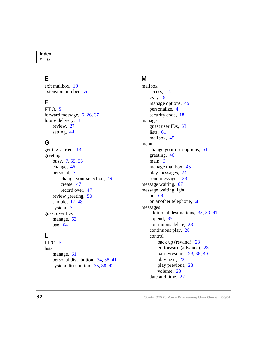#### **Index**

*E ~ M*

## **E**

exit mailbox, [19](#page-30-0) extension number, [vi](#page-9-1)

## **F**

FIFO, [5](#page-16-0) forward message, [6,](#page-17-0) [26](#page-37-1), [37](#page-48-2) future delivery, [8](#page-19-0) review, [27](#page-38-0) setting, [44](#page-55-0)

### **G**

getting started, [13](#page-24-0) greeting busy, [7,](#page-18-0) [55](#page-66-0), [56](#page-67-0) change, [46](#page-57-0) personal, [7](#page-18-1) change your selection, [49](#page-60-0) create, [47](#page-58-0) record over, [47](#page-58-0) review greeting, [50](#page-61-0) sample, [17](#page-28-0), [48](#page-59-0) system, [7](#page-18-2) guest user IDs manage, [63](#page-74-0) use, [64](#page-75-0)

### **L**

LIFO, [5](#page-16-0) lists manage, [61](#page-72-0) personal distribution, [34,](#page-45-1) [38](#page-49-0), [41](#page-52-2) system distribution, [35](#page-46-2), [38,](#page-49-1) [42](#page-53-0)

#### **M**

mailbox access, [14](#page-25-1) exit, [19](#page-30-0) manage options, [45](#page-56-0) personalize, [4](#page-15-0) security code, [18](#page-29-0) manage guest user IDs, [63](#page-74-0) lists, [61](#page-72-0) mailbox, [45](#page-56-0) menu change your user options, [51](#page-62-1) greeting, [46](#page-57-1) main, [3](#page-14-0) manage mailbox, [45](#page-56-1) play messages, [24](#page-35-0) send messages, [33](#page-44-0) message waiting, [67](#page-78-0) message waiting light on, [68](#page-79-1) on another telephone, [68](#page-79-1) messages additional destinations, [35,](#page-46-0) [39,](#page-50-0) [41](#page-52-0) append, [35](#page-46-3) continuous delete, [28](#page-39-0) continuous play, [28](#page-39-1) control back up (rewind), 23 go forward (advance), [23](#page-34-0) pause/resume, [23](#page-34-1), [38,](#page-49-2) [40](#page-51-0) play next, [23](#page-34-2) play previous, [23](#page-34-3) volume, [23](#page-34-4) date and time, [27](#page-38-1)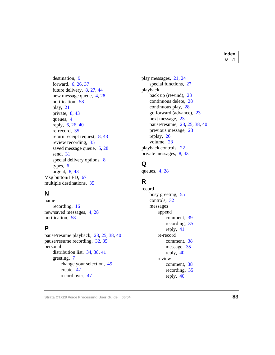**Index** *N ~ R*

destination, [9](#page-20-1) forward, [6,](#page-17-0) [26](#page-37-1), [37](#page-48-2) future delivery, [8,](#page-19-0) [27](#page-38-0), [44](#page-55-0) new message queue, [4](#page-15-1), [28](#page-39-2) notification, [58](#page-69-0) play, [21](#page-32-0) private, [8](#page-19-1), [43](#page-54-0) queues, [4](#page-15-2) reply, [6](#page-17-1), [26,](#page-37-3) [40](#page-51-1) re-record, [35](#page-46-4) return receipt request, [8](#page-19-2), [43](#page-54-1) review recording, [35](#page-46-5) saved message queue, [5,](#page-16-1) [28](#page-39-2) send, [31](#page-42-0) special delivery options, [8](#page-19-3) types, [6](#page-17-2) urgent, [8,](#page-19-4) [43](#page-54-2) Msg button/LED, [67](#page-78-1) multiple destinations, [35](#page-46-1)

# **N**

name recording, [16](#page-27-0) new/saved messages, [4](#page-15-1), [28](#page-39-2) notification, [58](#page-69-0)

### **P**

pause/resume playback, [23,](#page-34-1) [25,](#page-36-2) [38,](#page-49-2) [40](#page-51-0) pause/resume recording, [32,](#page-43-0) [35](#page-46-6) personal distribution list, [34](#page-45-1), [38,](#page-49-0) [41](#page-52-2) greeting, [7](#page-18-1) change your selection, [49](#page-60-0) create, [47](#page-58-0) record over, [47](#page-58-0)

play messages, [21,](#page-32-0) [24](#page-35-0) special functions, [27](#page-38-2) playback back up (rewind), 23 continuous delete, [28](#page-39-0) continuous play, [28](#page-39-1) go forward (advance), [23](#page-34-0) next message, [23](#page-34-2) pause/resume, [23](#page-34-1), [25,](#page-36-2) [38](#page-49-2), [40](#page-51-0) previous message, [23](#page-34-3) replay, [26](#page-37-2) volume, [23](#page-34-4) playback controls, [22](#page-33-0) private messages, [8,](#page-19-1) [43](#page-54-0)

## **Q**

queues, [4](#page-15-1), [28](#page-39-3)

### **R**

record busy greeting, [55](#page-66-0) controls, [32](#page-43-1) messages append comment, [39](#page-50-1) recording, [35](#page-46-3) reply, [41](#page-52-4) re-record comment, [38](#page-49-3) message, [35](#page-46-4) reply, [40](#page-51-2) review comment, [38](#page-49-4) recording, [35](#page-46-5) reply, [40](#page-51-3)